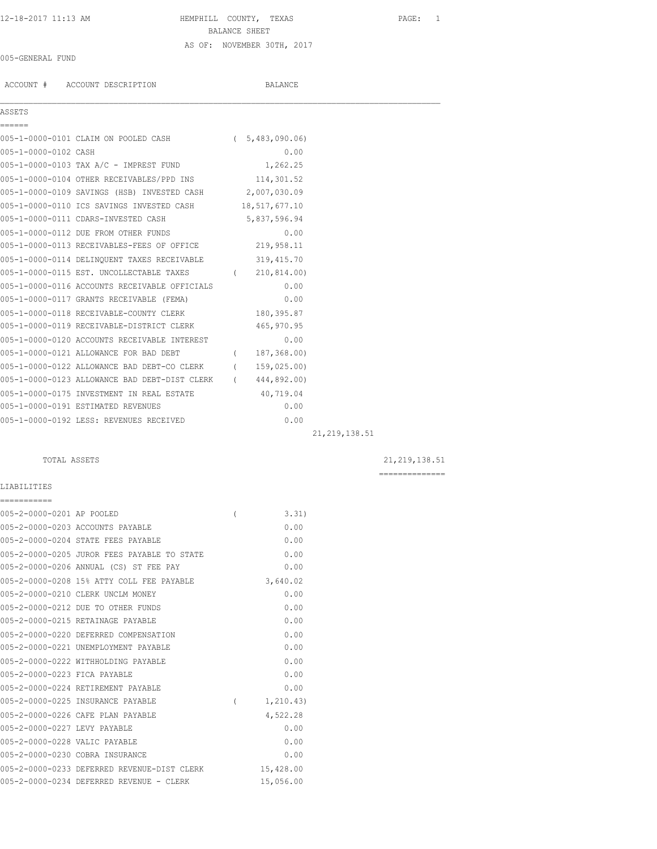# 12-18-2017 11:13 AM HEMPHILL COUNTY, TEXAS PAGE: 1 BALANCE SHEET AS OF: NOVEMBER 30TH, 2017

### 005-GENERAL FUND

ACCOUNT # ACCOUNT DESCRIPTION BALANCE

005-1-0000-0101 CLAIM ON POOLED CASH ( 5,483,090.06) 005-1-0000-0102 CASH 0.00 005-1-0000-0103 TAX A/C - IMPREST FUND 1,262.25 005-1-0000-0104 OTHER RECEIVABLES/PPD INS 114,301.52 005-1-0000-0109 SAVINGS (HSB) INVESTED CASH 2,007,030.09 005-1-0000-0110 ICS SAVINGS INVESTED CASH 18,517,677.10 005-1-0000-0111 CDARS-INVESTED CASH 5,837,596.94 005-1-0000-0112 DUE FROM OTHER FUNDS 0.00 005-1-0000-0113 RECEIVABLES-FEES OF OFFICE 219,958.11 005-1-0000-0114 DELINQUENT TAXES RECEIVABLE 319,415.70

005-1-0000-0121 ALLOWANCE FOR BAD DEBT ( 187,368.00) 005-1-0000-0122 ALLOWANCE BAD DEBT-CO CLERK ( 159,025.00) 005-1-0000-0123 ALLOWANCE BAD DEBT-DIST CLERK ( 444,892.00) 005-1-0000-0175 INVESTMENT IN REAL ESTATE 40,719.04 005-1-0000-0191 ESTIMATED REVENUES 0.00

| 'IN' | DESCR1 |
|------|--------|
|      |        |

 $\mathcal{L}_\mathcal{L} = \mathcal{L}_\mathcal{L}$ 

| 005-1-0000-0115 EST. UNCOLLECTABLE TAXES      | 210,814.00) |
|-----------------------------------------------|-------------|
| 005-1-0000-0116 ACCOUNTS RECEIVABLE OFFICIALS | 0.00        |
| 005-1-0000-0117 GRANTS RECEIVABLE (FEMA)      | 0.00        |
| 005-1-0000-0118 RECEIVABLE-COUNTY CLERK       | 180,395.87  |
| 005-1-0000-0119 RECEIVABLE-DISTRICT CLERK     | 465, 970.95 |
| 005-1-0000-0120 ACCOUNTS RECEIVABLE INTEREST  | 0.00        |

005-1-0000-0192 LESS: REVENUES RECEIVED 0.00

21,219,138.51

TOTAL ASSETS 21,219,138.51

LIABILITIES

| -----------                   |                                             |                |            |
|-------------------------------|---------------------------------------------|----------------|------------|
| 005-2-0000-0201 AP POOLED     |                                             | $\overline{(}$ | 3.31)      |
|                               | 005-2-0000-0203 ACCOUNTS PAYABLE            |                | 0.00       |
|                               | 005-2-0000-0204 STATE FEES PAYABLE          |                | 0.00       |
|                               | 005-2-0000-0205 JUROR FEES PAYABLE TO STATE |                | 0.00       |
|                               | 005-2-0000-0206 ANNUAL (CS) ST FEE PAY      |                | 0.00       |
|                               | 005-2-0000-0208 15% ATTY COLL FEE PAYABLE   |                | 3,640.02   |
|                               | 005-2-0000-0210 CLERK UNCLM MONEY           |                | 0.00       |
|                               | 005-2-0000-0212 DUE TO OTHER FUNDS          |                | 0.00       |
|                               | 005-2-0000-0215 RETAINAGE PAYABLE           |                | 0.00       |
|                               | 005-2-0000-0220 DEFERRED COMPENSATION       |                | 0.00       |
|                               | 005-2-0000-0221 UNEMPLOYMENT PAYABLE        |                | 0.00       |
|                               | 005-2-0000-0222 WITHHOLDING PAYABLE         |                | 0.00       |
| 005-2-0000-0223 FICA PAYABLE  |                                             |                | 0.00       |
|                               | 005-2-0000-0224 RETIREMENT PAYABLE          |                | 0.00       |
|                               | 005-2-0000-0225 INSURANCE PAYABLE           | $\overline{ }$ | 1, 210.43) |
|                               | 005-2-0000-0226 CAFE PLAN PAYABLE           |                | 4,522.28   |
| 005-2-0000-0227 LEVY PAYABLE  |                                             |                | 0.00       |
| 005-2-0000-0228 VALIC PAYABLE |                                             |                | 0.00       |
|                               | 005-2-0000-0230 COBRA INSURANCE             |                | 0.00       |
|                               | 005-2-0000-0233 DEFERRED REVENUE-DIST CLERK |                | 15,428.00  |
|                               | 005-2-0000-0234 DEFERRED REVENUE - CLERK    |                | 15,056.00  |
|                               |                                             |                |            |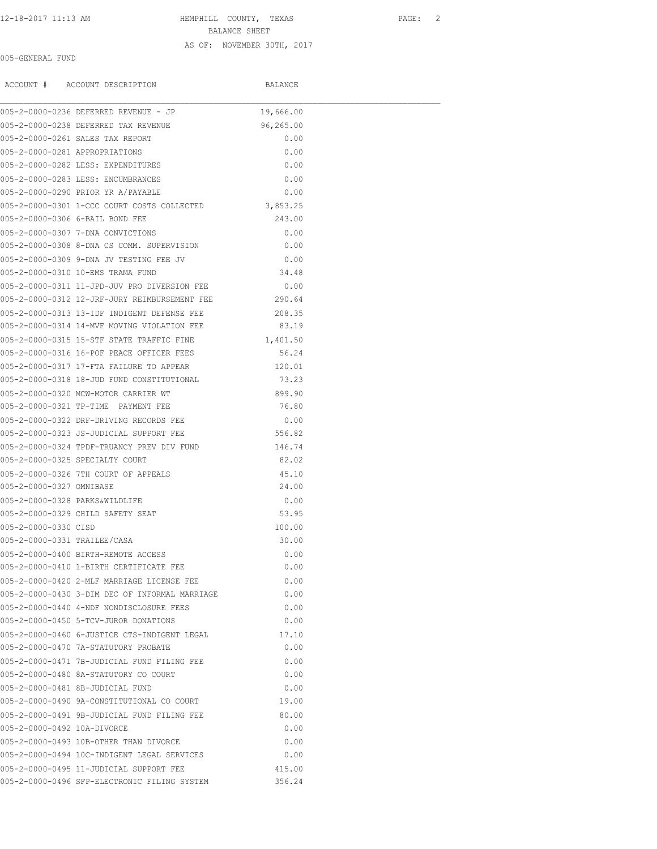# 12-18-2017 11:13 AM HEMPHILL COUNTY, TEXAS PAGE: 2

BALANCE SHEET

## AS OF: NOVEMBER 30TH, 2017

| 005-GENERAL FUND               |                                                      |           |  |
|--------------------------------|------------------------------------------------------|-----------|--|
|                                | ACCOUNT # ACCOUNT DESCRIPTION                        | BALANCE   |  |
|                                | 005-2-0000-0236 DEFERRED REVENUE - JP                | 19,666.00 |  |
|                                | 005-2-0000-0238 DEFERRED TAX REVENUE<br>96,265.00    |           |  |
|                                | 005-2-0000-0261 SALES TAX REPORT                     | 0.00      |  |
| 005-2-0000-0281 APPROPRIATIONS |                                                      | 0.00      |  |
|                                | 005-2-0000-0282 LESS: EXPENDITURES                   | 0.00      |  |
|                                | 005-2-0000-0283 LESS: ENCUMBRANCES                   | 0.00      |  |
|                                | 005-2-0000-0290 PRIOR YR A/PAYABLE                   | 0.00      |  |
|                                | 005-2-0000-0301 1-CCC COURT COSTS COLLECTED 3,853.25 |           |  |
|                                | 005-2-0000-0306 6-BAIL BOND FEE                      | 243.00    |  |
|                                | 005-2-0000-0307 7-DNA CONVICTIONS                    | 0.00      |  |
|                                | 005-2-0000-0308 8-DNA CS COMM. SUPERVISION           | 0.00      |  |
|                                | 005-2-0000-0309 9-DNA JV TESTING FEE JV              | 0.00      |  |
|                                | 005-2-0000-0310 10-EMS TRAMA FUND                    | 34.48     |  |
|                                | 005-2-0000-0311 11-JPD-JUV PRO DIVERSION FEE         | 0.00      |  |
|                                | 005-2-0000-0312 12-JRF-JURY REIMBURSEMENT FEE 290.64 |           |  |
|                                | 005-2-0000-0313 13-IDF INDIGENT DEFENSE FEE          | 208.35    |  |
|                                | 005-2-0000-0314 14-MVF MOVING VIOLATION FEE          | 83.19     |  |
|                                | 005-2-0000-0315 15-STF STATE TRAFFIC FINE 1,401.50   |           |  |
|                                | 005-2-0000-0316 16-POF PEACE OFFICER FEES            | 56.24     |  |
|                                | 005-2-0000-0317 17-FTA FAILURE TO APPEAR             | 120.01    |  |
|                                | 005-2-0000-0318 18-JUD FUND CONSTITUTIONAL           | 73.23     |  |
|                                | 005-2-0000-0320 MCW-MOTOR CARRIER WT                 | 899.90    |  |
|                                | 005-2-0000-0321 TP-TIME PAYMENT FEE                  | 76.80     |  |
|                                | 005-2-0000-0322 DRF-DRIVING RECORDS FEE              | 0.00      |  |
|                                | 005-2-0000-0323 JS-JUDICIAL SUPPORT FEE              | 556.82    |  |
|                                | 005-2-0000-0324 TPDF-TRUANCY PREV DIV FUND 146.74    |           |  |
|                                | 005-2-0000-0325 SPECIALTY COURT                      | 82.02     |  |
|                                | 005-2-0000-0326 7TH COURT OF APPEALS                 | 45.10     |  |
| 005-2-0000-0327 OMNIBASE       |                                                      | 24.00     |  |

|                                | 005-2-0000-0326 7TH COURT OF APPEALS           | 45.10  |
|--------------------------------|------------------------------------------------|--------|
| 005-2-0000-0327 OMNIBASE       |                                                | 24.00  |
| 005-2-0000-0328 PARKS&WILDLIFE |                                                | 0.00   |
|                                | 005-2-0000-0329 CHILD SAFETY SEAT              | 53.95  |
| 005-2-0000-0330 CTSD           |                                                | 100.00 |
| 005-2-0000-0331 TRAILEE/CASA   |                                                | 30.00  |
|                                | 005-2-0000-0400 BIRTH-REMOTE ACCESS            | 0.00   |
|                                | 005-2-0000-0410 1-BIRTH CERTIFICATE FEE        | 0.00   |
|                                | 005-2-0000-0420 2-MLF MARRIAGE LICENSE FEE     | 0.00   |
|                                | 005-2-0000-0430 3-DIM DEC OF INFORMAL MARRIAGE | 0.00   |
|                                | 005-2-0000-0440 4-NDF NONDISCLOSURE FEES       | 0.00   |
|                                | 005-2-0000-0450 5-TCV-JUROR DONATIONS          | 0.00   |
|                                | 005-2-0000-0460 6-JUSTICE CTS-INDIGENT LEGAL   | 17.10  |
|                                | 005-2-0000-0470 7A-STATUTORY PROBATE           | 0.00   |
|                                | 005-2-0000-0471 7B-JUDICIAL FUND FILING FEE    | 0.00   |
|                                | 005-2-0000-0480 8A-STATUTORY CO COURT          | 0.00   |
|                                | 005-2-0000-0481 8B-JUDICIAL FUND               | 0.00   |
|                                | 005-2-0000-0490 9A-CONSTITUTIONAL CO COURT     | 19.00  |
|                                | 005-2-0000-0491 9B-JUDICIAL FUND FILING FEE    | 80.00  |
| 005-2-0000-0492 10A-DIVORCE    |                                                | 0.00   |
|                                | 005-2-0000-0493 10B-OTHER THAN DIVORCE         | 0.00   |
|                                | 005-2-0000-0494 10C-INDIGENT LEGAL SERVICES    | 0.00   |
|                                | 005-2-0000-0495 11-JUDICIAL SUPPORT FEE        | 415.00 |

005-2-0000-0496 SFP-ELECTRONIC FILING SYSTEM 356.24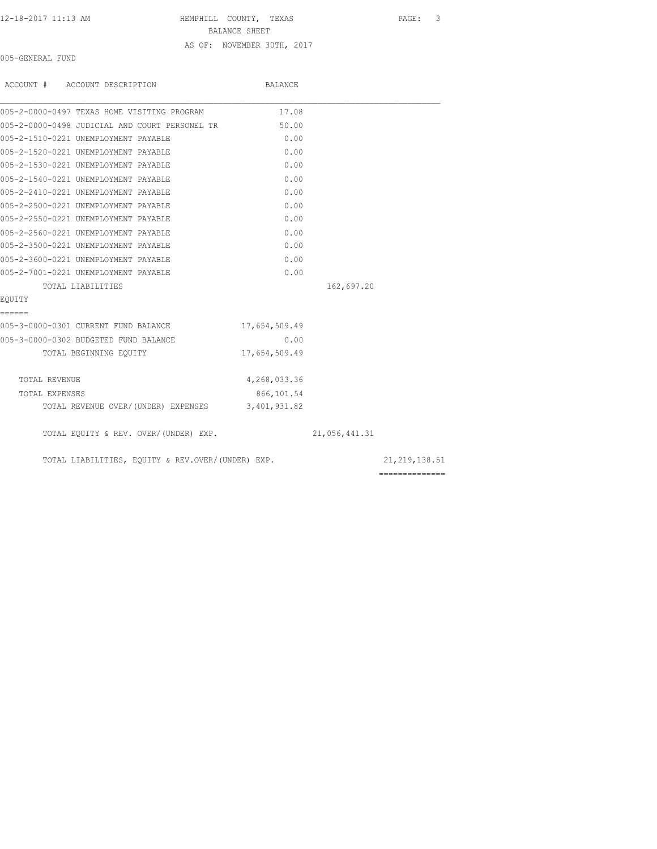#### 12-18-2017 11:13 AM HEMPHILL COUNTY, TEXAS PAGE: 3

BALANCE SHEET

### AS OF: NOVEMBER 30TH, 2017

005-GENERAL FUND

| ACCOUNT # ACCOUNT DESCRIPTION                     | BALANCE       |               |                                                                                                                                                                                                                                                                                                                                                                                                                                                                                        |
|---------------------------------------------------|---------------|---------------|----------------------------------------------------------------------------------------------------------------------------------------------------------------------------------------------------------------------------------------------------------------------------------------------------------------------------------------------------------------------------------------------------------------------------------------------------------------------------------------|
| 005-2-0000-0497 TEXAS HOME VISITING PROGRAM       | 17.08         |               |                                                                                                                                                                                                                                                                                                                                                                                                                                                                                        |
| 005-2-0000-0498 JUDICIAL AND COURT PERSONEL TR    | 50.00         |               |                                                                                                                                                                                                                                                                                                                                                                                                                                                                                        |
| 005-2-1510-0221 UNEMPLOYMENT PAYABLE              | 0.00          |               |                                                                                                                                                                                                                                                                                                                                                                                                                                                                                        |
| 005-2-1520-0221 UNEMPLOYMENT PAYABLE              | 0.00          |               |                                                                                                                                                                                                                                                                                                                                                                                                                                                                                        |
| 005-2-1530-0221 UNEMPLOYMENT PAYABLE              | 0.00          |               |                                                                                                                                                                                                                                                                                                                                                                                                                                                                                        |
| 005-2-1540-0221 UNEMPLOYMENT PAYABLE              | 0.00          |               |                                                                                                                                                                                                                                                                                                                                                                                                                                                                                        |
| 005-2-2410-0221 UNEMPLOYMENT PAYABLE              | 0.00          |               |                                                                                                                                                                                                                                                                                                                                                                                                                                                                                        |
| 005-2-2500-0221 UNEMPLOYMENT PAYABLE              | 0.00          |               |                                                                                                                                                                                                                                                                                                                                                                                                                                                                                        |
| 005-2-2550-0221 UNEMPLOYMENT PAYABLE              | 0.00          |               |                                                                                                                                                                                                                                                                                                                                                                                                                                                                                        |
| 005-2-2560-0221 UNEMPLOYMENT PAYABLE              | 0.00          |               |                                                                                                                                                                                                                                                                                                                                                                                                                                                                                        |
| 005-2-3500-0221 UNEMPLOYMENT PAYABLE              | 0.00          |               |                                                                                                                                                                                                                                                                                                                                                                                                                                                                                        |
| 005-2-3600-0221 UNEMPLOYMENT PAYABLE              | 0.00          |               |                                                                                                                                                                                                                                                                                                                                                                                                                                                                                        |
| 005-2-7001-0221 UNEMPLOYMENT PAYABLE              | 0.00          |               |                                                                                                                                                                                                                                                                                                                                                                                                                                                                                        |
| TOTAL LIABILITIES                                 |               | 162,697.20    |                                                                                                                                                                                                                                                                                                                                                                                                                                                                                        |
| EOUITY                                            |               |               |                                                                                                                                                                                                                                                                                                                                                                                                                                                                                        |
| ======                                            |               |               |                                                                                                                                                                                                                                                                                                                                                                                                                                                                                        |
| 005-3-0000-0301 CURRENT FUND BALANCE              | 17,654,509.49 |               |                                                                                                                                                                                                                                                                                                                                                                                                                                                                                        |
| 005-3-0000-0302 BUDGETED FUND BALANCE             | 0.00          |               |                                                                                                                                                                                                                                                                                                                                                                                                                                                                                        |
| TOTAL BEGINNING EQUITY                            | 17,654,509.49 |               |                                                                                                                                                                                                                                                                                                                                                                                                                                                                                        |
| TOTAL REVENUE                                     | 4,268,033.36  |               |                                                                                                                                                                                                                                                                                                                                                                                                                                                                                        |
| TOTAL EXPENSES                                    | 866,101.54    |               |                                                                                                                                                                                                                                                                                                                                                                                                                                                                                        |
| TOTAL REVENUE OVER/(UNDER) EXPENSES 3,401,931.82  |               |               |                                                                                                                                                                                                                                                                                                                                                                                                                                                                                        |
| TOTAL EQUITY & REV. OVER/(UNDER) EXP.             |               | 21,056,441.31 |                                                                                                                                                                                                                                                                                                                                                                                                                                                                                        |
| TOTAL LIABILITIES, EQUITY & REV.OVER/(UNDER) EXP. |               |               | 21, 219, 138.51                                                                                                                                                                                                                                                                                                                                                                                                                                                                        |
|                                                   |               |               | $\begin{array}{cccccccccc} \multicolumn{2}{c}{} & \multicolumn{2}{c}{} & \multicolumn{2}{c}{} & \multicolumn{2}{c}{} & \multicolumn{2}{c}{} & \multicolumn{2}{c}{} & \multicolumn{2}{c}{} & \multicolumn{2}{c}{} & \multicolumn{2}{c}{} & \multicolumn{2}{c}{} & \multicolumn{2}{c}{} & \multicolumn{2}{c}{} & \multicolumn{2}{c}{} & \multicolumn{2}{c}{} & \multicolumn{2}{c}{} & \multicolumn{2}{c}{} & \multicolumn{2}{c}{} & \multicolumn{2}{c}{} & \multicolumn{2}{c}{} & \mult$ |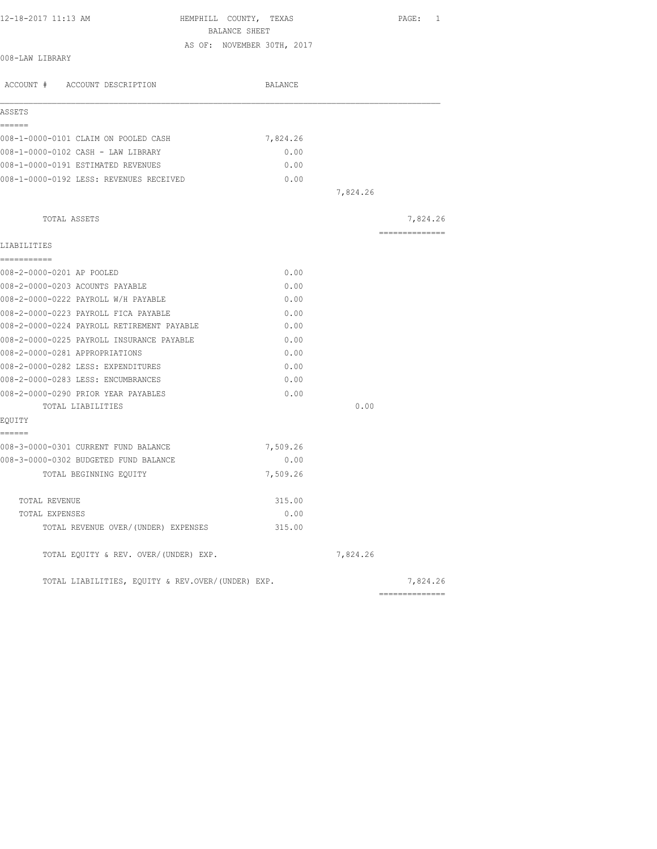| 12-18-2017 11:13 AM                               | HEMPHILL COUNTY, TEXAS<br>BALANCE SHEET |          | PAGE: 1        |
|---------------------------------------------------|-----------------------------------------|----------|----------------|
|                                                   | AS OF: NOVEMBER 30TH, 2017              |          |                |
| 008-LAW LIBRARY                                   |                                         |          |                |
| ACCOUNT # ACCOUNT DESCRIPTION                     | BALANCE                                 |          |                |
| ASSETS                                            |                                         |          |                |
| ------                                            |                                         |          |                |
| 008-1-0000-0101 CLAIM ON POOLED CASH              | 7,824.26                                |          |                |
| 008-1-0000-0102 CASH - LAW LIBRARY                | 0.00                                    |          |                |
| 008-1-0000-0191 ESTIMATED REVENUES                | 0.00                                    |          |                |
| 008-1-0000-0192 LESS: REVENUES RECEIVED           | 0.00                                    |          |                |
|                                                   |                                         | 7,824.26 |                |
| TOTAL ASSETS                                      |                                         |          | 7,824.26       |
| LIABILITIES                                       |                                         |          | ============== |
| ------------                                      |                                         |          |                |
| 008-2-0000-0201 AP POOLED                         | 0.00                                    |          |                |
| 008-2-0000-0203 ACOUNTS PAYABLE                   | 0.00                                    |          |                |
| 008-2-0000-0222 PAYROLL W/H PAYABLE               | 0.00                                    |          |                |
| 008-2-0000-0223 PAYROLL FICA PAYABLE              | 0.00                                    |          |                |
| 008-2-0000-0224 PAYROLL RETIREMENT PAYABLE        | 0.00                                    |          |                |
| 008-2-0000-0225 PAYROLL INSURANCE PAYABLE         | 0.00                                    |          |                |
| 008-2-0000-0281 APPROPRIATIONS                    | 0.00                                    |          |                |
| 008-2-0000-0282 LESS: EXPENDITURES                | 0.00                                    |          |                |
| 008-2-0000-0283 LESS: ENCUMBRANCES                | 0.00                                    |          |                |
| 008-2-0000-0290 PRIOR YEAR PAYABLES               | 0.00                                    |          |                |
| TOTAL LIABILITIES                                 |                                         | 0.00     |                |
| EQUITY                                            |                                         |          |                |
| ======<br>008-3-0000-0301 CURRENT FUND BALANCE    | 7,509.26                                |          |                |
| 008-3-0000-0302 BUDGETED FUND BALANCE             | 0.00                                    |          |                |
| TOTAL BEGINNING EQUITY                            | 7,509.26                                |          |                |
| TOTAL REVENUE                                     | 315.00                                  |          |                |
| TOTAL EXPENSES                                    | 0.00                                    |          |                |
| TOTAL REVENUE OVER/(UNDER) EXPENSES               | 315.00                                  |          |                |
| TOTAL EQUITY & REV. OVER/(UNDER) EXP.             |                                         | 7,824.26 |                |
| TOTAL LIABILITIES, EQUITY & REV.OVER/(UNDER) EXP. |                                         |          | 7,824.26       |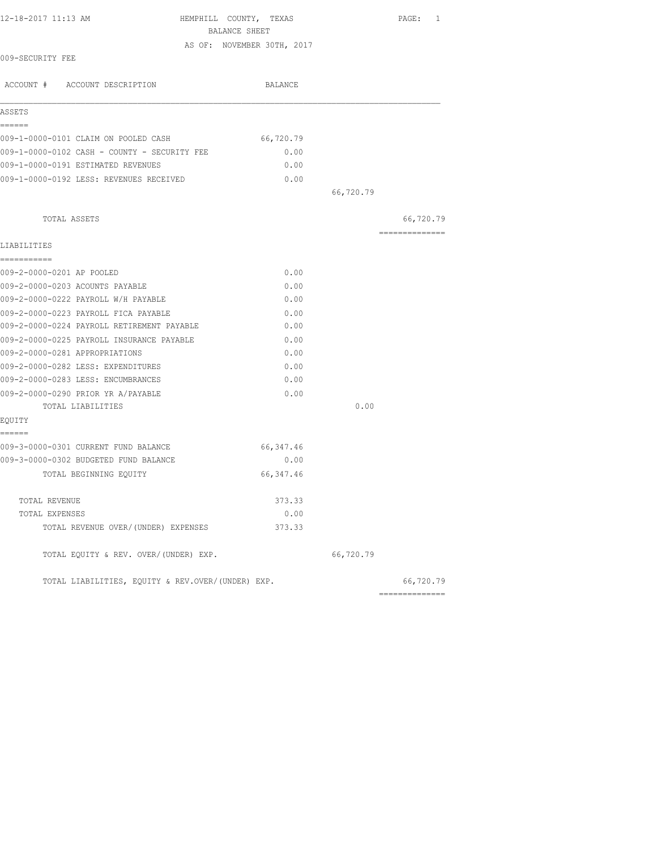| 12-18-2017 11:13 AM<br>HEMPHILL COUNTY, TEXAS                                 | BALANCE SHEET              |           | PAGE: 1         |
|-------------------------------------------------------------------------------|----------------------------|-----------|-----------------|
|                                                                               | AS OF: NOVEMBER 30TH, 2017 |           |                 |
| 009-SECURITY FEE                                                              |                            |           |                 |
| ACCOUNT # ACCOUNT DESCRIPTION                                                 | BALANCE                    |           |                 |
| ASSETS                                                                        |                            |           |                 |
| ======                                                                        |                            |           |                 |
| 009-1-0000-0101 CLAIM ON POOLED CASH                                          | 66,720.79                  |           |                 |
| 009-1-0000-0102 CASH - COUNTY - SECURITY FEE                                  | 0.00                       |           |                 |
| 009-1-0000-0191 ESTIMATED REVENUES                                            | 0.00                       |           |                 |
| 009-1-0000-0192 LESS: REVENUES RECEIVED                                       | 0.00                       |           |                 |
|                                                                               |                            | 66,720.79 |                 |
| TOTAL ASSETS                                                                  |                            |           | 66,720.79       |
| LIABILITIES                                                                   |                            |           | --------------- |
| ===========                                                                   |                            |           |                 |
| 009-2-0000-0201 AP POOLED                                                     | 0.00                       |           |                 |
| 009-2-0000-0203 ACOUNTS PAYABLE                                               | 0.00                       |           |                 |
| 009-2-0000-0222 PAYROLL W/H PAYABLE                                           | 0.00                       |           |                 |
| 009-2-0000-0223 PAYROLL FICA PAYABLE                                          | 0.00                       |           |                 |
| 009-2-0000-0224 PAYROLL RETIREMENT PAYABLE                                    | 0.00                       |           |                 |
| 009-2-0000-0225 PAYROLL INSURANCE PAYABLE                                     | 0.00                       |           |                 |
| 009-2-0000-0281 APPROPRIATIONS                                                | 0.00                       |           |                 |
| 009-2-0000-0282 LESS: EXPENDITURES                                            | 0.00                       |           |                 |
| 009-2-0000-0283 LESS: ENCUMBRANCES                                            | 0.00                       |           |                 |
| 009-2-0000-0290 PRIOR YR A/PAYABLE                                            | 0.00                       |           |                 |
| TOTAL LIABILITIES                                                             |                            | 0.00      |                 |
| EQUITY                                                                        |                            |           |                 |
| ------                                                                        | 66, 347.46                 |           |                 |
| 009-3-0000-0301 CURRENT FUND BALANCE<br>009-3-0000-0302 BUDGETED FUND BALANCE | 0.00                       |           |                 |
|                                                                               |                            |           |                 |
| TOTAL BEGINNING EQUITY                                                        | 66, 347.46                 |           |                 |
| TOTAL REVENUE                                                                 | 373.33                     |           |                 |
| TOTAL EXPENSES                                                                | 0.00                       |           |                 |
| TOTAL REVENUE OVER/(UNDER) EXPENSES                                           | 373.33                     |           |                 |
| TOTAL EQUITY & REV. OVER/(UNDER) EXP.                                         |                            | 66,720.79 |                 |
| TOTAL LIABILITIES, EQUITY & REV.OVER/(UNDER) EXP.                             |                            |           | 66,720.79       |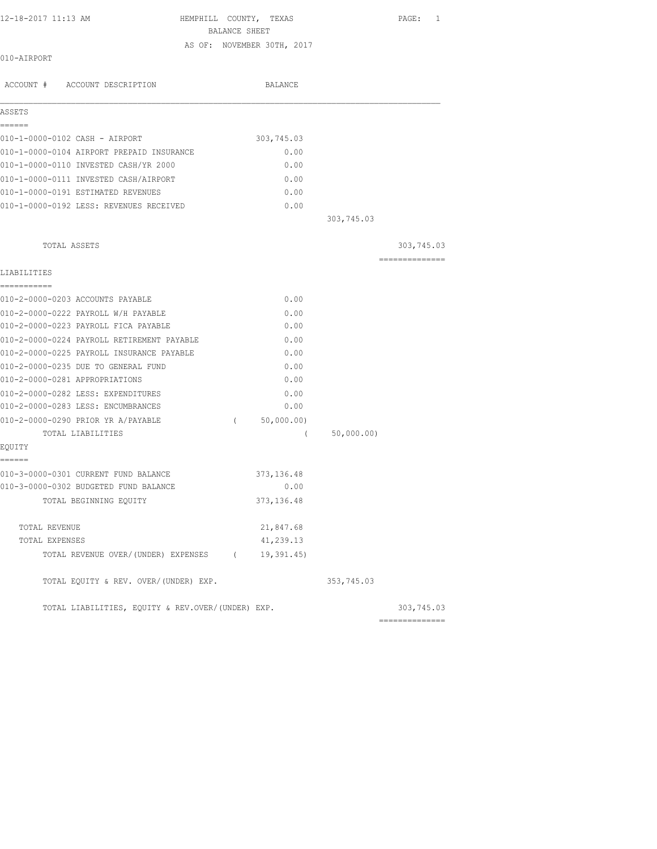| 12-18-2017 11:13 AM |  |  |
|---------------------|--|--|
|---------------------|--|--|

HEMPHILL COUNTY, TEXAS PAGE: 1 BALANCE SHEET AS OF: NOVEMBER 30TH, 2017

010-AIRPORT

|                                | ACCOUNT # ACCOUNT DESCRIPTION                     |          | BALANCE     |            |                              |
|--------------------------------|---------------------------------------------------|----------|-------------|------------|------------------------------|
| ASSETS                         |                                                   |          |             |            |                              |
| ------                         |                                                   |          |             |            |                              |
|                                | 010-1-0000-0102 CASH - AIRPORT                    |          | 303,745.03  |            |                              |
|                                | 010-1-0000-0104 AIRPORT PREPAID INSURANCE         |          | 0.00        |            |                              |
|                                | 010-1-0000-0110 INVESTED CASH/YR 2000             |          | 0.00        |            |                              |
|                                | 010-1-0000-0111 INVESTED CASH/AIRPORT             |          | 0.00        |            |                              |
|                                | 010-1-0000-0191 ESTIMATED REVENUES                |          | 0.00        |            |                              |
|                                | 010-1-0000-0192 LESS: REVENUES RECEIVED           |          | 0.00        |            |                              |
|                                |                                                   |          |             | 303,745.03 |                              |
| TOTAL ASSETS                   |                                                   |          |             |            | 303,745.03                   |
| LIABILITIES                    |                                                   |          |             |            | ==============               |
| ===========                    |                                                   |          |             |            |                              |
|                                | 010-2-0000-0203 ACCOUNTS PAYABLE                  |          | 0.00        |            |                              |
|                                | 010-2-0000-0222 PAYROLL W/H PAYABLE               |          | 0.00        |            |                              |
|                                | 010-2-0000-0223 PAYROLL FICA PAYABLE              |          | 0.00        |            |                              |
|                                | 010-2-0000-0224 PAYROLL RETIREMENT PAYABLE        |          | 0.00        |            |                              |
|                                | 010-2-0000-0225 PAYROLL INSURANCE PAYABLE         |          | 0.00        |            |                              |
|                                | 010-2-0000-0235 DUE TO GENERAL FUND               |          | 0.00        |            |                              |
| 010-2-0000-0281 APPROPRIATIONS |                                                   |          | 0.00        |            |                              |
|                                | 010-2-0000-0282 LESS: EXPENDITURES                |          | 0.00        |            |                              |
|                                | 010-2-0000-0283 LESS: ENCUMBRANCES                |          | 0.00        |            |                              |
|                                | 010-2-0000-0290 PRIOR YR A/PAYABLE                | $\left($ | 50,000.00)  |            |                              |
|                                | TOTAL LIABILITIES                                 |          | $\left($    | 50,000.00) |                              |
| EQUITY<br>======               |                                                   |          |             |            |                              |
|                                | 010-3-0000-0301 CURRENT FUND BALANCE              |          | 373,136.48  |            |                              |
|                                | 010-3-0000-0302 BUDGETED FUND BALANCE             |          | 0.00        |            |                              |
|                                | TOTAL BEGINNING EQUITY                            |          | 373, 136.48 |            |                              |
| TOTAL REVENUE                  |                                                   |          | 21,847.68   |            |                              |
| TOTAL EXPENSES                 |                                                   |          | 41,239.13   |            |                              |
|                                | TOTAL REVENUE OVER/(UNDER) EXPENSES (19,391.45)   |          |             |            |                              |
|                                | TOTAL EQUITY & REV. OVER/(UNDER) EXP.             |          |             | 353,745.03 |                              |
|                                | TOTAL LIABILITIES, EQUITY & REV.OVER/(UNDER) EXP. |          |             |            | 303,745.03<br>============== |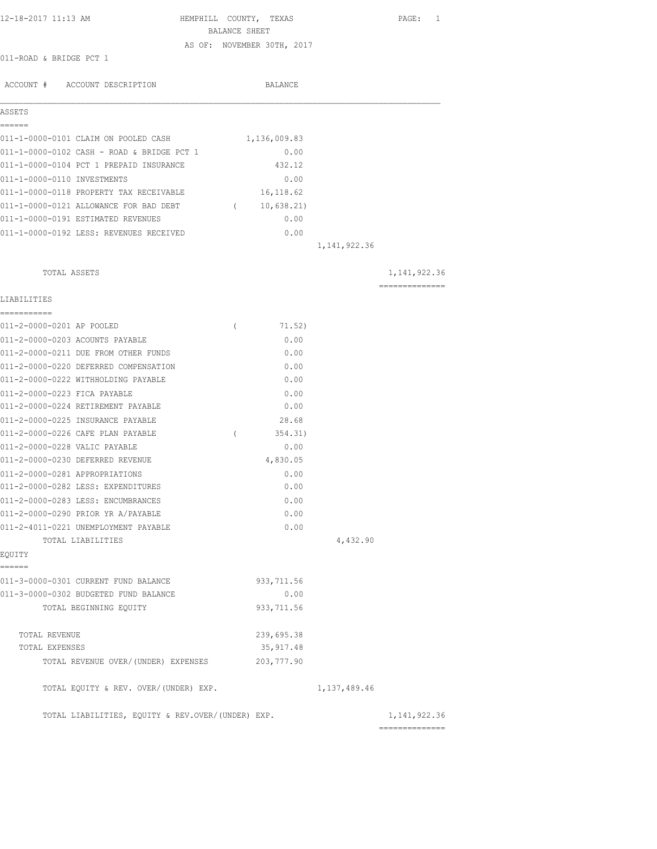| 12-18-2017 11:13 AM                                       | HEMPHILL COUNTY, TEXAS     |                | PAGE: 1        |
|-----------------------------------------------------------|----------------------------|----------------|----------------|
|                                                           | BALANCE SHEET              |                |                |
| 011-ROAD & BRIDGE PCT 1                                   | AS OF: NOVEMBER 30TH, 2017 |                |                |
|                                                           |                            |                |                |
| ACCOUNT # ACCOUNT DESCRIPTION                             | BALANCE                    |                |                |
| ASSETS                                                    |                            |                |                |
| ======<br>011-1-0000-0101 CLAIM ON POOLED CASH            | 1,136,009.83               |                |                |
| 011-1-0000-0102 CASH - ROAD & BRIDGE PCT 1                | 0.00                       |                |                |
| 011-1-0000-0104 PCT 1 PREPAID INSURANCE                   | 432.12                     |                |                |
| 011-1-0000-0110 INVESTMENTS                               | 0.00                       |                |                |
| 011-1-0000-0118 PROPERTY TAX RECEIVABLE                   | 16,118.62                  |                |                |
| 011-1-0000-0121 ALLOWANCE FOR BAD DEBT                    | (10, 638.21)               |                |                |
| 011-1-0000-0191 ESTIMATED REVENUES                        | 0.00                       |                |                |
| 011-1-0000-0192 LESS: REVENUES RECEIVED                   | 0.00                       |                |                |
|                                                           |                            | 1, 141, 922.36 |                |
| TOTAL ASSETS                                              |                            |                | 1, 141, 922.36 |
| LIABILITIES                                               |                            |                | ============== |
| ------------                                              |                            |                |                |
| 011-2-0000-0201 AP POOLED                                 | $\left($<br>71.52)         |                |                |
| 011-2-0000-0203 ACOUNTS PAYABLE                           | 0.00                       |                |                |
| 011-2-0000-0211 DUE FROM OTHER FUNDS                      | 0.00                       |                |                |
| 011-2-0000-0220 DEFERRED COMPENSATION                     | 0.00                       |                |                |
| 011-2-0000-0222 WITHHOLDING PAYABLE                       | 0.00                       |                |                |
| 011-2-0000-0223 FICA PAYABLE                              | 0.00                       |                |                |
| 011-2-0000-0224 RETIREMENT PAYABLE                        | 0.00                       |                |                |
| 011-2-0000-0225 INSURANCE PAYABLE                         | 28.68                      |                |                |
| 011-2-0000-0226 CAFE PLAN PAYABLE                         | $\left($<br>354.31)        |                |                |
| 011-2-0000-0228 VALIC PAYABLE                             | 0.00                       |                |                |
| 011-2-0000-0230 DEFERRED REVENUE                          | 4,830.05                   |                |                |
| 011-2-0000-0281 APPROPRIATIONS                            | 0.00                       |                |                |
| 011-2-0000-0282 LESS: EXPENDITURES                        | 0.00                       |                |                |
| 011-2-0000-0283 LESS: ENCUMBRANCES                        | 0.00                       |                |                |
| 011-2-0000-0290 PRIOR YR A/PAYABLE                        | 0.00                       |                |                |
| 011-2-4011-0221 UNEMPLOYMENT PAYABLE<br>TOTAL LIABILITIES | 0.00                       | 4,432.90       |                |
| EQUITY                                                    |                            |                |                |
| ======<br>011-3-0000-0301 CURRENT FUND BALANCE            | 933,711.56                 |                |                |
| 011-3-0000-0302 BUDGETED FUND BALANCE                     | 0.00                       |                |                |
| TOTAL BEGINNING EQUITY                                    | 933, 711.56                |                |                |
|                                                           |                            |                |                |
| TOTAL REVENUE                                             | 239,695.38                 |                |                |
| TOTAL EXPENSES                                            | 35, 917.48                 |                |                |
| TOTAL REVENUE OVER/(UNDER) EXPENSES                       | 203,777.90                 |                |                |
| TOTAL EQUITY & REV. OVER/(UNDER) EXP.                     |                            | 1, 137, 489.46 |                |
| TOTAL LIABILITIES, EQUITY & REV.OVER/(UNDER) EXP.         |                            |                | 1, 141, 922.36 |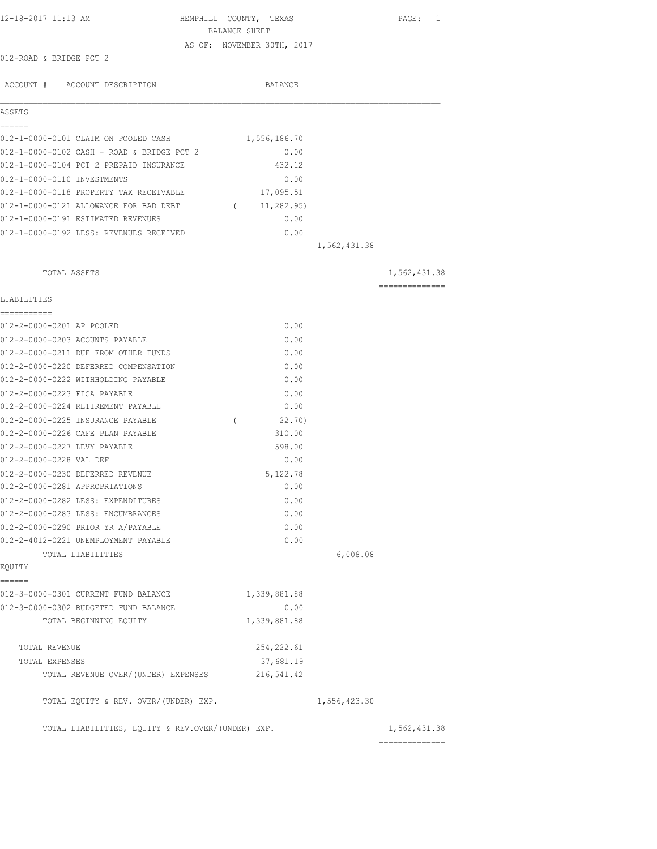| 12-18-2017 11:13 AM                                                    | HEMPHILL COUNTY, TEXAS<br>BALANCE SHEET |              | PAGE: 1        |
|------------------------------------------------------------------------|-----------------------------------------|--------------|----------------|
|                                                                        | AS OF: NOVEMBER 30TH, 2017              |              |                |
| 012-ROAD & BRIDGE PCT 2                                                |                                         |              |                |
| ACCOUNT # ACCOUNT DESCRIPTION                                          | BALANCE                                 |              |                |
| ASSETS                                                                 |                                         |              |                |
| ======                                                                 |                                         |              |                |
| 012-1-0000-0101 CLAIM ON POOLED CASH                                   | 1,556,186.70                            |              |                |
| 012-1-0000-0102 CASH - ROAD & BRIDGE PCT 2                             | 0.00                                    |              |                |
| 012-1-0000-0104 PCT 2 PREPAID INSURANCE                                | 432.12                                  |              |                |
| 012-1-0000-0110 INVESTMENTS<br>012-1-0000-0118 PROPERTY TAX RECEIVABLE | 0.00<br>17,095.51                       |              |                |
| 012-1-0000-0121 ALLOWANCE FOR BAD DEBT                                 |                                         |              |                |
| 012-1-0000-0191 ESTIMATED REVENUES                                     | 11,282.95)<br>$\sqrt{2}$<br>0.00        |              |                |
| 012-1-0000-0192 LESS: REVENUES RECEIVED                                | 0.00                                    |              |                |
|                                                                        |                                         | 1,562,431.38 |                |
|                                                                        |                                         |              |                |
| TOTAL ASSETS                                                           |                                         |              | 1,562,431.38   |
| LIABILITIES                                                            |                                         |              | ============== |
| -----------                                                            |                                         |              |                |
| 012-2-0000-0201 AP POOLED                                              | 0.00                                    |              |                |
| 012-2-0000-0203 ACOUNTS PAYABLE                                        | 0.00                                    |              |                |
| 012-2-0000-0211 DUE FROM OTHER FUNDS                                   | 0.00                                    |              |                |
| 012-2-0000-0220 DEFERRED COMPENSATION                                  | 0.00                                    |              |                |
| 012-2-0000-0222 WITHHOLDING PAYABLE                                    | 0.00                                    |              |                |
| 012-2-0000-0223 FICA PAYABLE                                           | 0.00                                    |              |                |
| 012-2-0000-0224 RETIREMENT PAYABLE                                     | 0.00                                    |              |                |
| 012-2-0000-0225 INSURANCE PAYABLE<br>012-2-0000-0226 CAFE PLAN PAYABLE | 22.70)<br>$\left($                      |              |                |
| 012-2-0000-0227 LEVY PAYABLE                                           | 310.00                                  |              |                |
| 012-2-0000-0228 VAL DEF                                                | 598.00<br>0.00                          |              |                |
| 012-2-0000-0230 DEFERRED REVENUE                                       | 5,122.78                                |              |                |
| 012-2-0000-0281 APPROPRIATIONS                                         | 0.00                                    |              |                |
| 012-2-0000-0282 LESS: EXPENDITURES                                     | 0.00                                    |              |                |
| 012-2-0000-0283 LESS: ENCUMBRANCES                                     | 0.00                                    |              |                |
| 012-2-0000-0290 PRIOR YR A/PAYABLE                                     | 0.00                                    |              |                |
| 012-2-4012-0221 UNEMPLOYMENT PAYABLE                                   | 0.00                                    |              |                |
| TOTAL LIABILITIES                                                      |                                         | 6,008.08     |                |
| EQUITY                                                                 |                                         |              |                |
| ======<br>012-3-0000-0301 CURRENT FUND BALANCE                         | 1,339,881.88                            |              |                |
| 012-3-0000-0302 BUDGETED FUND BALANCE                                  | 0.00                                    |              |                |
| TOTAL BEGINNING EQUITY                                                 | 1,339,881.88                            |              |                |
| TOTAL REVENUE                                                          | 254, 222.61                             |              |                |
| TOTAL EXPENSES                                                         | 37,681.19                               |              |                |
| TOTAL REVENUE OVER/(UNDER) EXPENSES                                    | 216, 541.42                             |              |                |
| TOTAL EQUITY & REV. OVER/(UNDER) EXP.                                  |                                         | 1,556,423.30 |                |
| TOTAL LIABILITIES, EQUITY & REV.OVER/(UNDER) EXP.                      |                                         |              | 1,562,431.38   |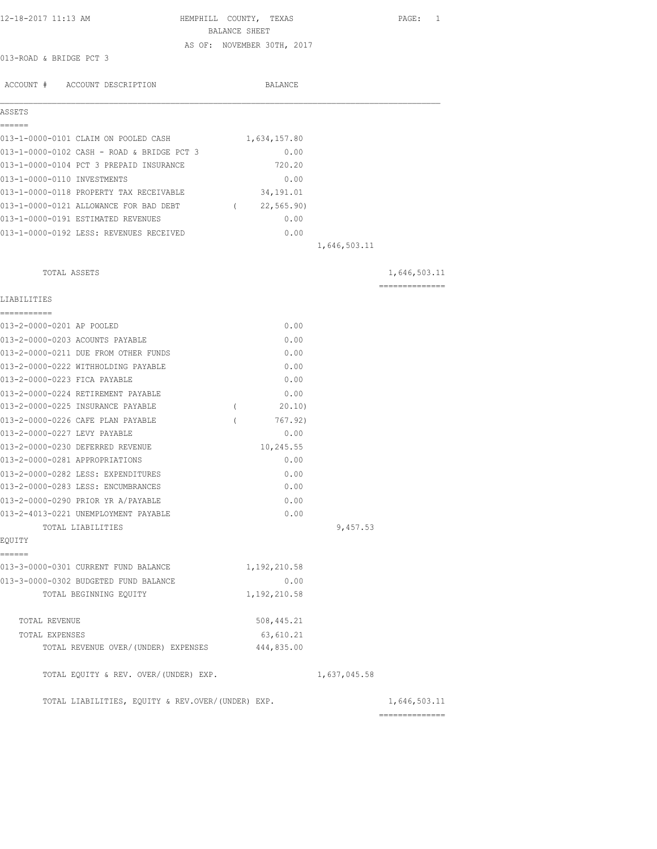| 12-18-2017 11:13 AM                               | HEMPHILL COUNTY, TEXAS     |              | PAGE: 1        |
|---------------------------------------------------|----------------------------|--------------|----------------|
|                                                   | BALANCE SHEET              |              |                |
|                                                   | AS OF: NOVEMBER 30TH, 2017 |              |                |
| 013-ROAD & BRIDGE PCT 3                           |                            |              |                |
|                                                   |                            |              |                |
| ACCOUNT # ACCOUNT DESCRIPTION                     | BALANCE                    |              |                |
| ASSETS                                            |                            |              |                |
| ======                                            |                            |              |                |
| 013-1-0000-0101 CLAIM ON POOLED CASH              | 1,634,157.80               |              |                |
| 013-1-0000-0102 CASH - ROAD & BRIDGE PCT 3        | 0.00                       |              |                |
| 013-1-0000-0104 PCT 3 PREPAID INSURANCE           | 720.20                     |              |                |
| 013-1-0000-0110 INVESTMENTS                       | 0.00                       |              |                |
| 013-1-0000-0118 PROPERTY TAX RECEIVABLE           | 34,191.01                  |              |                |
| 013-1-0000-0121 ALLOWANCE FOR BAD DEBT            | 22, 565.90<br>$\sqrt{2}$   |              |                |
| 013-1-0000-0191 ESTIMATED REVENUES                | 0.00                       |              |                |
| 013-1-0000-0192 LESS: REVENUES RECEIVED           | 0.00                       |              |                |
|                                                   |                            | 1,646,503.11 |                |
|                                                   |                            |              |                |
| TOTAL ASSETS                                      |                            |              | 1,646,503.11   |
|                                                   |                            |              | ============== |
| LIABILITIES                                       |                            |              |                |
| -----------                                       |                            |              |                |
| 013-2-0000-0201 AP POOLED                         | 0.00                       |              |                |
| 013-2-0000-0203 ACOUNTS PAYABLE                   | 0.00                       |              |                |
| 013-2-0000-0211 DUE FROM OTHER FUNDS              | 0.00                       |              |                |
| 013-2-0000-0222 WITHHOLDING PAYABLE               | 0.00                       |              |                |
| 013-2-0000-0223 FICA PAYABLE                      | 0.00                       |              |                |
| 013-2-0000-0224 RETIREMENT PAYABLE                | 0.00                       |              |                |
| 013-2-0000-0225 INSURANCE PAYABLE                 | 20.10)                     |              |                |
| 013-2-0000-0226 CAFE PLAN PAYABLE                 | 767.92)                    |              |                |
| 013-2-0000-0227 LEVY PAYABLE                      | 0.00                       |              |                |
| 013-2-0000-0230 DEFERRED REVENUE                  | 10,245.55                  |              |                |
| 013-2-0000-0281 APPROPRIATIONS                    | 0.00                       |              |                |
| 013-2-0000-0282 LESS: EXPENDITURES                | 0.00                       |              |                |
| 013-2-0000-0283 LESS: ENCUMBRANCES                | 0.00                       |              |                |
| 013-2-0000-0290 PRIOR YR A/PAYABLE                | 0.00                       |              |                |
| 013-2-4013-0221 UNEMPLOYMENT PAYABLE              | 0.00                       |              |                |
| TOTAL LIABILITIES                                 |                            | 9,457.53     |                |
| EQUITY                                            |                            |              |                |
| ======                                            |                            |              |                |
| 013-3-0000-0301 CURRENT FUND BALANCE              | 1,192,210.58               |              |                |
| 013-3-0000-0302 BUDGETED FUND BALANCE             | 0.00                       |              |                |
| TOTAL BEGINNING EQUITY                            | 1,192,210.58               |              |                |
| TOTAL REVENUE                                     | 508, 445.21                |              |                |
| TOTAL EXPENSES                                    | 63,610.21                  |              |                |
| TOTAL REVENUE OVER/(UNDER) EXPENSES               | 444,835.00                 |              |                |
| TOTAL EQUITY & REV. OVER/(UNDER) EXP.             |                            | 1,637,045.58 |                |
|                                                   |                            |              |                |
| TOTAL LIABILITIES, EQUITY & REV.OVER/(UNDER) EXP. |                            |              | 1,646,503.11   |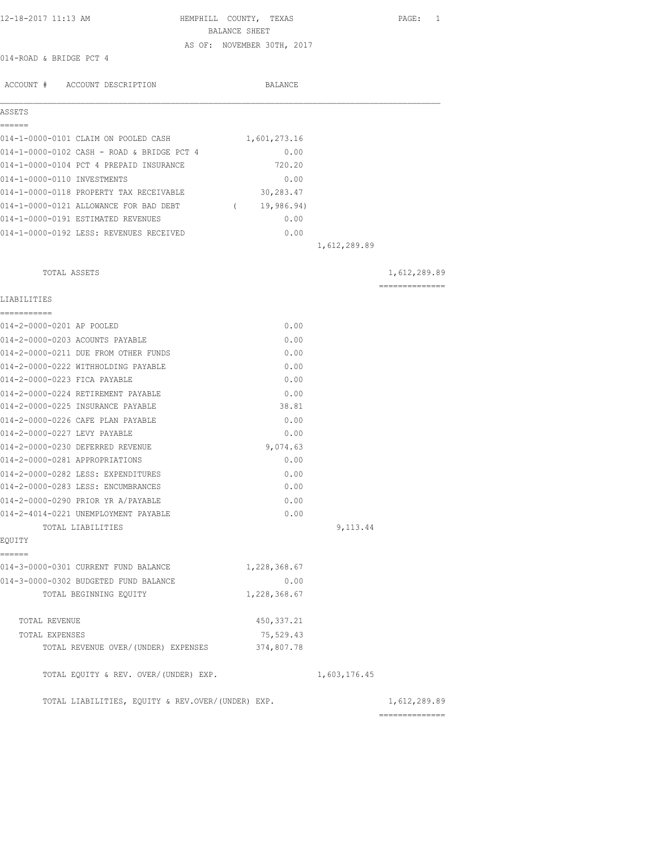| 12-18-2017 11:13 AM                               | HEMPHILL COUNTY, TEXAS     |              | PAGE: 1         |
|---------------------------------------------------|----------------------------|--------------|-----------------|
|                                                   | BALANCE SHEET              |              |                 |
| 014-ROAD & BRIDGE PCT 4                           | AS OF: NOVEMBER 30TH, 2017 |              |                 |
|                                                   |                            |              |                 |
| ACCOUNT # ACCOUNT DESCRIPTION                     | <b>BALANCE</b>             |              |                 |
| ASSETS                                            |                            |              |                 |
| ------                                            |                            |              |                 |
| 014-1-0000-0101 CLAIM ON POOLED CASH              | 1,601,273.16               |              |                 |
| 014-1-0000-0102 CASH - ROAD & BRIDGE PCT 4        | 0.00                       |              |                 |
| 014-1-0000-0104 PCT 4 PREPAID INSURANCE           | 720.20                     |              |                 |
| 014-1-0000-0110 INVESTMENTS                       | 0.00                       |              |                 |
| 014-1-0000-0118 PROPERTY TAX RECEIVABLE           | 30,283.47                  |              |                 |
| 014-1-0000-0121 ALLOWANCE FOR BAD DEBT            | 19,986.94)<br>$\sqrt{2}$   |              |                 |
| 014-1-0000-0191 ESTIMATED REVENUES                | 0.00                       |              |                 |
| 014-1-0000-0192 LESS: REVENUES RECEIVED           | 0.00                       |              |                 |
|                                                   |                            | 1,612,289.89 |                 |
| TOTAL ASSETS                                      |                            |              | 1,612,289.89    |
| LIABILITIES                                       |                            |              | --------------- |
| -----------<br>014-2-0000-0201 AP POOLED          | 0.00                       |              |                 |
| 014-2-0000-0203 ACOUNTS PAYABLE                   | 0.00                       |              |                 |
| 014-2-0000-0211 DUE FROM OTHER FUNDS              | 0.00                       |              |                 |
| 014-2-0000-0222 WITHHOLDING PAYABLE               | 0.00                       |              |                 |
| 014-2-0000-0223 FICA PAYABLE                      | 0.00                       |              |                 |
| 014-2-0000-0224 RETIREMENT PAYABLE                | 0.00                       |              |                 |
| 014-2-0000-0225 INSURANCE PAYABLE                 | 38.81                      |              |                 |
| 014-2-0000-0226 CAFE PLAN PAYABLE                 | 0.00                       |              |                 |
| 014-2-0000-0227 LEVY PAYABLE                      | 0.00                       |              |                 |
| 014-2-0000-0230 DEFERRED REVENUE                  | 9,074.63                   |              |                 |
| 014-2-0000-0281 APPROPRIATIONS                    | 0.00                       |              |                 |
| 014-2-0000-0282 LESS: EXPENDITURES                | 0.00                       |              |                 |
| 014-2-0000-0283 LESS: ENCUMBRANCES                | 0.00                       |              |                 |
| 014-2-0000-0290 PRIOR YR A/PAYABLE                | 0.00                       |              |                 |
| 014-2-4014-0221 UNEMPLOYMENT PAYABLE              | 0.00                       |              |                 |
| TOTAL LIABILITIES                                 |                            | 9,113.44     |                 |
| EOUITY<br>------                                  |                            |              |                 |
| 014-3-0000-0301 CURRENT FUND BALANCE              | 1,228,368.67               |              |                 |
| 014-3-0000-0302 BUDGETED FUND BALANCE             | 0.00                       |              |                 |
| TOTAL BEGINNING EOUITY                            | 1,228,368.67               |              |                 |
| TOTAL REVENUE                                     | 450, 337.21                |              |                 |
| TOTAL EXPENSES                                    | 75,529.43                  |              |                 |
| TOTAL REVENUE OVER/(UNDER) EXPENSES               | 374,807.78                 |              |                 |
| TOTAL EQUITY & REV. OVER/(UNDER) EXP.             |                            | 1,603,176.45 |                 |
| TOTAL LIABILITIES, EQUITY & REV.OVER/(UNDER) EXP. |                            |              | 1,612,289.89    |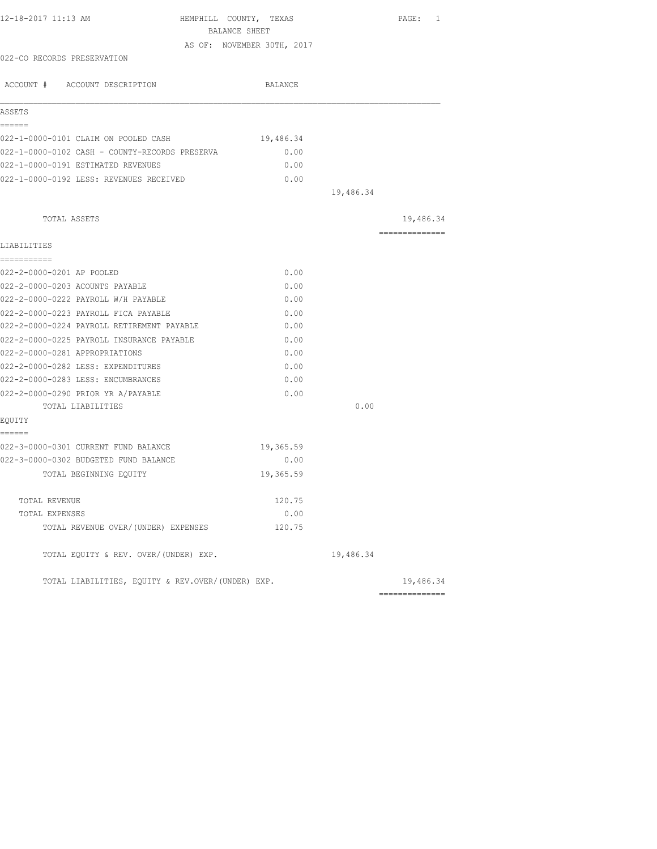| 12-18-2017 11:13 AM<br>HEMPHILL COUNTY, TEXAS     |                            |           | PAGE: 1                                                                                                                                                                                                                                                                                                                                                                                                                                                                                |
|---------------------------------------------------|----------------------------|-----------|----------------------------------------------------------------------------------------------------------------------------------------------------------------------------------------------------------------------------------------------------------------------------------------------------------------------------------------------------------------------------------------------------------------------------------------------------------------------------------------|
| BALANCE SHEET                                     |                            |           |                                                                                                                                                                                                                                                                                                                                                                                                                                                                                        |
|                                                   | AS OF: NOVEMBER 30TH, 2017 |           |                                                                                                                                                                                                                                                                                                                                                                                                                                                                                        |
| 022-CO RECORDS PRESERVATION                       |                            |           |                                                                                                                                                                                                                                                                                                                                                                                                                                                                                        |
| ACCOUNT # ACCOUNT DESCRIPTION                     | BALANCE                    |           |                                                                                                                                                                                                                                                                                                                                                                                                                                                                                        |
| ASSETS                                            |                            |           |                                                                                                                                                                                                                                                                                                                                                                                                                                                                                        |
| ------                                            |                            |           |                                                                                                                                                                                                                                                                                                                                                                                                                                                                                        |
| 022-1-0000-0101 CLAIM ON POOLED CASH              | 19,486.34                  |           |                                                                                                                                                                                                                                                                                                                                                                                                                                                                                        |
| 022-1-0000-0102 CASH - COUNTY-RECORDS PRESERVA    | 0.00                       |           |                                                                                                                                                                                                                                                                                                                                                                                                                                                                                        |
| 022-1-0000-0191 ESTIMATED REVENUES                | 0.00                       |           |                                                                                                                                                                                                                                                                                                                                                                                                                                                                                        |
| 022-1-0000-0192 LESS: REVENUES RECEIVED           | 0.00                       |           |                                                                                                                                                                                                                                                                                                                                                                                                                                                                                        |
|                                                   |                            | 19,486.34 |                                                                                                                                                                                                                                                                                                                                                                                                                                                                                        |
| TOTAL ASSETS                                      |                            |           | 19,486.34                                                                                                                                                                                                                                                                                                                                                                                                                                                                              |
|                                                   |                            |           | $\begin{array}{cccccccccccccc} \multicolumn{2}{c}{} & \multicolumn{2}{c}{} & \multicolumn{2}{c}{} & \multicolumn{2}{c}{} & \multicolumn{2}{c}{} & \multicolumn{2}{c}{} & \multicolumn{2}{c}{} & \multicolumn{2}{c}{} & \multicolumn{2}{c}{} & \multicolumn{2}{c}{} & \multicolumn{2}{c}{} & \multicolumn{2}{c}{} & \multicolumn{2}{c}{} & \multicolumn{2}{c}{} & \multicolumn{2}{c}{} & \multicolumn{2}{c}{} & \multicolumn{2}{c}{} & \multicolumn{2}{c}{} & \multicolumn{2}{c}{} & \$ |
| LIABILITIES<br>===========                        |                            |           |                                                                                                                                                                                                                                                                                                                                                                                                                                                                                        |
| 022-2-0000-0201 AP POOLED                         | 0.00                       |           |                                                                                                                                                                                                                                                                                                                                                                                                                                                                                        |
| 022-2-0000-0203 ACOUNTS PAYABLE                   | 0.00                       |           |                                                                                                                                                                                                                                                                                                                                                                                                                                                                                        |
| 022-2-0000-0222 PAYROLL W/H PAYABLE               | 0.00                       |           |                                                                                                                                                                                                                                                                                                                                                                                                                                                                                        |
| 022-2-0000-0223 PAYROLL FICA PAYABLE              | 0.00                       |           |                                                                                                                                                                                                                                                                                                                                                                                                                                                                                        |
| 022-2-0000-0224 PAYROLL RETIREMENT PAYABLE        | 0.00                       |           |                                                                                                                                                                                                                                                                                                                                                                                                                                                                                        |
| 022-2-0000-0225 PAYROLL INSURANCE PAYABLE         | 0.00                       |           |                                                                                                                                                                                                                                                                                                                                                                                                                                                                                        |
| 022-2-0000-0281 APPROPRIATIONS                    | 0.00                       |           |                                                                                                                                                                                                                                                                                                                                                                                                                                                                                        |
| 022-2-0000-0282 LESS: EXPENDITURES                | 0.00                       |           |                                                                                                                                                                                                                                                                                                                                                                                                                                                                                        |
| 022-2-0000-0283 LESS: ENCUMBRANCES                | 0.00                       |           |                                                                                                                                                                                                                                                                                                                                                                                                                                                                                        |
| 022-2-0000-0290 PRIOR YR A/PAYABLE                | 0.00                       |           |                                                                                                                                                                                                                                                                                                                                                                                                                                                                                        |
| TOTAL LIABILITIES                                 |                            | 0.00      |                                                                                                                                                                                                                                                                                                                                                                                                                                                                                        |
| EQUITY                                            |                            |           |                                                                                                                                                                                                                                                                                                                                                                                                                                                                                        |
| ======<br>022-3-0000-0301 CURRENT FUND BALANCE    | 19,365.59                  |           |                                                                                                                                                                                                                                                                                                                                                                                                                                                                                        |
| 022-3-0000-0302 BUDGETED FUND BALANCE             | 0.00                       |           |                                                                                                                                                                                                                                                                                                                                                                                                                                                                                        |
| TOTAL BEGINNING EQUITY                            | 19,365.59                  |           |                                                                                                                                                                                                                                                                                                                                                                                                                                                                                        |
|                                                   |                            |           |                                                                                                                                                                                                                                                                                                                                                                                                                                                                                        |
| TOTAL REVENUE<br>TOTAL EXPENSES                   | 120.75<br>0.00             |           |                                                                                                                                                                                                                                                                                                                                                                                                                                                                                        |
| TOTAL REVENUE OVER/(UNDER) EXPENSES               | 120.75                     |           |                                                                                                                                                                                                                                                                                                                                                                                                                                                                                        |
|                                                   |                            |           |                                                                                                                                                                                                                                                                                                                                                                                                                                                                                        |
| TOTAL EQUITY & REV. OVER/(UNDER) EXP.             |                            | 19,486.34 |                                                                                                                                                                                                                                                                                                                                                                                                                                                                                        |
| TOTAL LIABILITIES, EQUITY & REV.OVER/(UNDER) EXP. |                            |           | 19,486.34                                                                                                                                                                                                                                                                                                                                                                                                                                                                              |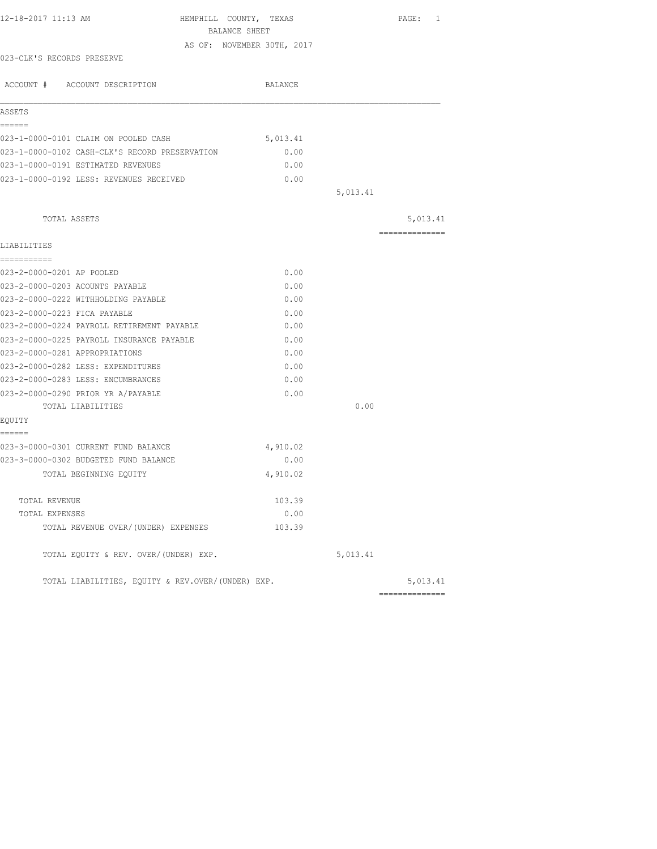| 12-18-2017 11:13 AM                               | HEMPHILL COUNTY, TEXAS     |          | PAGE: 1        |
|---------------------------------------------------|----------------------------|----------|----------------|
|                                                   | BALANCE SHEET              |          |                |
|                                                   | AS OF: NOVEMBER 30TH, 2017 |          |                |
| 023-CLK'S RECORDS PRESERVE                        |                            |          |                |
| ACCOUNT # ACCOUNT DESCRIPTION                     | BALANCE                    |          |                |
| ASSETS                                            |                            |          |                |
| ------                                            |                            |          |                |
| 023-1-0000-0101 CLAIM ON POOLED CASH              | 5,013.41                   |          |                |
| 023-1-0000-0102 CASH-CLK'S RECORD PRESERVATION    | 0.00                       |          |                |
| 023-1-0000-0191 ESTIMATED REVENUES                | 0.00                       |          |                |
| 023-1-0000-0192 LESS: REVENUES RECEIVED           | 0.00                       |          |                |
|                                                   |                            | 5,013.41 |                |
| TOTAL ASSETS                                      |                            |          | 5,013.41       |
|                                                   |                            |          | ============== |
| LIABILITIES<br>------------                       |                            |          |                |
| 023-2-0000-0201 AP POOLED                         | 0.00                       |          |                |
| 023-2-0000-0203 ACOUNTS PAYABLE                   | 0.00                       |          |                |
| 023-2-0000-0222 WITHHOLDING PAYABLE               | 0.00                       |          |                |
| 023-2-0000-0223 FICA PAYABLE                      | 0.00                       |          |                |
| 023-2-0000-0224 PAYROLL RETIREMENT PAYABLE        | 0.00                       |          |                |
| 023-2-0000-0225 PAYROLL INSURANCE PAYABLE         | 0.00                       |          |                |
| 023-2-0000-0281 APPROPRIATIONS                    | 0.00                       |          |                |
| 023-2-0000-0282 LESS: EXPENDITURES                | 0.00                       |          |                |
| 023-2-0000-0283 LESS: ENCUMBRANCES                | 0.00                       |          |                |
| 023-2-0000-0290 PRIOR YR A/PAYABLE                | 0.00                       |          |                |
| TOTAL LIABILITIES                                 |                            | 0.00     |                |
| EQUITY                                            |                            |          |                |
| ------<br>023-3-0000-0301 CURRENT FUND BALANCE    | 4,910.02                   |          |                |
| 023-3-0000-0302 BUDGETED FUND BALANCE             | 0.00                       |          |                |
| TOTAL BEGINNING EOUITY                            | 4,910.02                   |          |                |
| TOTAL REVENUE                                     | 103.39                     |          |                |
| TOTAL EXPENSES                                    | 0.00                       |          |                |
| TOTAL REVENUE OVER/(UNDER) EXPENSES               | 103.39                     |          |                |
| TOTAL EQUITY & REV. OVER/(UNDER) EXP.             |                            | 5,013.41 |                |
| TOTAL LIABILITIES, EQUITY & REV.OVER/(UNDER) EXP. |                            |          | 5,013.41       |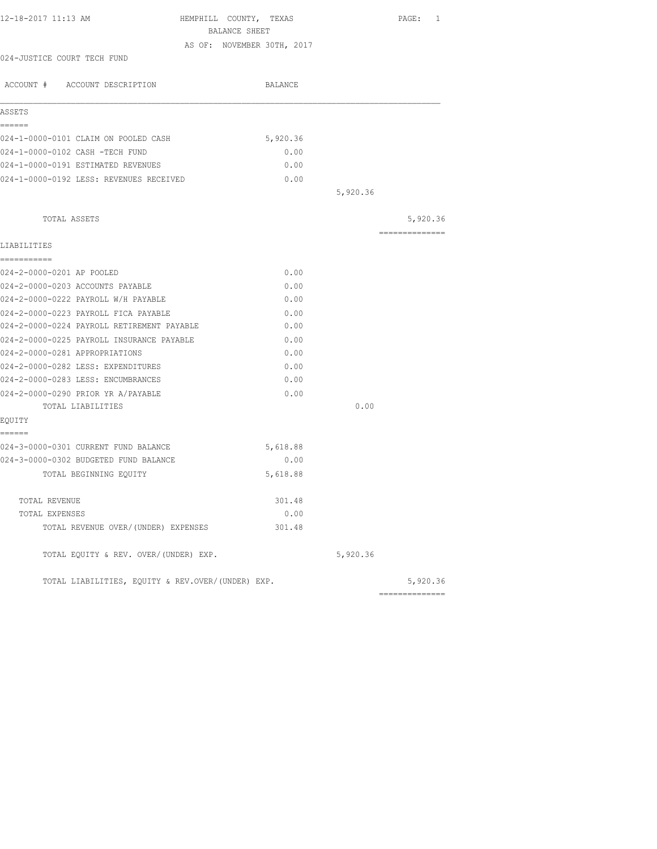| HEMPHILL COUNTY, TEXAS |                                                                                                                                                                                                                  | PAGE: 1        |
|------------------------|------------------------------------------------------------------------------------------------------------------------------------------------------------------------------------------------------------------|----------------|
|                        |                                                                                                                                                                                                                  |                |
|                        |                                                                                                                                                                                                                  |                |
|                        |                                                                                                                                                                                                                  |                |
| BALANCE                |                                                                                                                                                                                                                  |                |
|                        |                                                                                                                                                                                                                  |                |
| 5,920.36               |                                                                                                                                                                                                                  |                |
| 0.00                   |                                                                                                                                                                                                                  |                |
| 0.00                   |                                                                                                                                                                                                                  |                |
| 0.00                   |                                                                                                                                                                                                                  |                |
|                        | 5,920.36                                                                                                                                                                                                         |                |
|                        |                                                                                                                                                                                                                  | 5,920.36       |
|                        |                                                                                                                                                                                                                  | -------------- |
|                        |                                                                                                                                                                                                                  |                |
|                        |                                                                                                                                                                                                                  |                |
|                        |                                                                                                                                                                                                                  |                |
|                        |                                                                                                                                                                                                                  |                |
|                        |                                                                                                                                                                                                                  |                |
|                        |                                                                                                                                                                                                                  |                |
|                        |                                                                                                                                                                                                                  |                |
|                        |                                                                                                                                                                                                                  |                |
|                        |                                                                                                                                                                                                                  |                |
|                        |                                                                                                                                                                                                                  |                |
|                        |                                                                                                                                                                                                                  |                |
|                        |                                                                                                                                                                                                                  |                |
|                        |                                                                                                                                                                                                                  |                |
|                        |                                                                                                                                                                                                                  |                |
|                        |                                                                                                                                                                                                                  |                |
|                        |                                                                                                                                                                                                                  |                |
|                        |                                                                                                                                                                                                                  |                |
|                        |                                                                                                                                                                                                                  |                |
| 301.48                 |                                                                                                                                                                                                                  |                |
| 0.00                   |                                                                                                                                                                                                                  |                |
| 301.48                 |                                                                                                                                                                                                                  |                |
|                        | 5,920.36                                                                                                                                                                                                         |                |
|                        |                                                                                                                                                                                                                  | 5,920.36       |
|                        | BALANCE SHEET<br>AS OF: NOVEMBER 30TH, 2017<br>0.00<br>0.00<br>0.00<br>0.00<br>0.00<br>0.00<br>0.00<br>0.00<br>0.00<br>0.00<br>5,618.88<br>0.00<br>5,618.88<br>TOTAL LIABILITIES, EQUITY & REV.OVER/(UNDER) EXP. | 0.00           |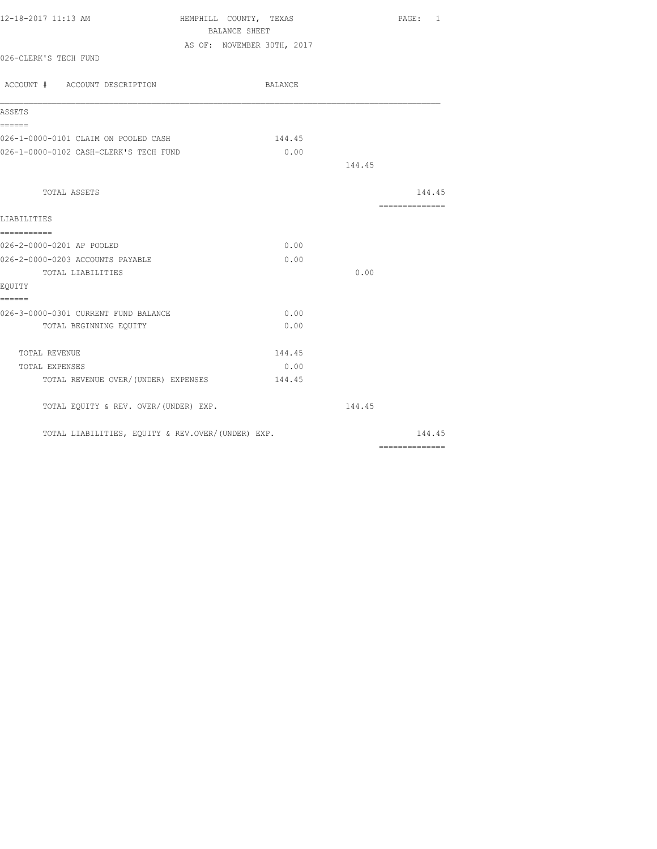| 12-18-2017 11:13 AM                               | HEMPHILL COUNTY, TEXAS     | PAGE: 1                                                                                                                                                                                                                                                                                                                                                                                                                                                                                |
|---------------------------------------------------|----------------------------|----------------------------------------------------------------------------------------------------------------------------------------------------------------------------------------------------------------------------------------------------------------------------------------------------------------------------------------------------------------------------------------------------------------------------------------------------------------------------------------|
|                                                   | BALANCE SHEET              |                                                                                                                                                                                                                                                                                                                                                                                                                                                                                        |
|                                                   | AS OF: NOVEMBER 30TH, 2017 |                                                                                                                                                                                                                                                                                                                                                                                                                                                                                        |
| 026-CLERK'S TECH FUND                             |                            |                                                                                                                                                                                                                                                                                                                                                                                                                                                                                        |
|                                                   |                            |                                                                                                                                                                                                                                                                                                                                                                                                                                                                                        |
| ACCOUNT # ACCOUNT DESCRIPTION                     | BALANCE                    |                                                                                                                                                                                                                                                                                                                                                                                                                                                                                        |
| ASSETS                                            |                            |                                                                                                                                                                                                                                                                                                                                                                                                                                                                                        |
| ======                                            |                            |                                                                                                                                                                                                                                                                                                                                                                                                                                                                                        |
| 026-1-0000-0101 CLAIM ON POOLED CASH              | 144.45                     |                                                                                                                                                                                                                                                                                                                                                                                                                                                                                        |
| 026-1-0000-0102 CASH-CLERK'S TECH FUND            | 0.00                       |                                                                                                                                                                                                                                                                                                                                                                                                                                                                                        |
|                                                   |                            | 144.45                                                                                                                                                                                                                                                                                                                                                                                                                                                                                 |
| TOTAL ASSETS                                      |                            | 144.45                                                                                                                                                                                                                                                                                                                                                                                                                                                                                 |
|                                                   |                            | $\begin{array}{cccccccccc} \multicolumn{2}{c}{} & \multicolumn{2}{c}{} & \multicolumn{2}{c}{} & \multicolumn{2}{c}{} & \multicolumn{2}{c}{} & \multicolumn{2}{c}{} & \multicolumn{2}{c}{} & \multicolumn{2}{c}{} & \multicolumn{2}{c}{} & \multicolumn{2}{c}{} & \multicolumn{2}{c}{} & \multicolumn{2}{c}{} & \multicolumn{2}{c}{} & \multicolumn{2}{c}{} & \multicolumn{2}{c}{} & \multicolumn{2}{c}{} & \multicolumn{2}{c}{} & \multicolumn{2}{c}{} & \multicolumn{2}{c}{} & \mult$ |
| LIABILITIES                                       |                            |                                                                                                                                                                                                                                                                                                                                                                                                                                                                                        |
| -----------                                       |                            |                                                                                                                                                                                                                                                                                                                                                                                                                                                                                        |
| 026-2-0000-0201 AP POOLED                         | 0.00                       |                                                                                                                                                                                                                                                                                                                                                                                                                                                                                        |
| 026-2-0000-0203 ACCOUNTS PAYABLE                  | 0.00                       |                                                                                                                                                                                                                                                                                                                                                                                                                                                                                        |
| TOTAL LIABILITIES                                 |                            | 0.00                                                                                                                                                                                                                                                                                                                                                                                                                                                                                   |
| EOUITY                                            |                            |                                                                                                                                                                                                                                                                                                                                                                                                                                                                                        |
| ======                                            |                            |                                                                                                                                                                                                                                                                                                                                                                                                                                                                                        |
| 026-3-0000-0301 CURRENT FUND BALANCE              | 0.00                       |                                                                                                                                                                                                                                                                                                                                                                                                                                                                                        |
| TOTAL BEGINNING EQUITY                            | 0.00                       |                                                                                                                                                                                                                                                                                                                                                                                                                                                                                        |
| TOTAL REVENUE                                     | 144.45                     |                                                                                                                                                                                                                                                                                                                                                                                                                                                                                        |
| TOTAL EXPENSES                                    | 0.00                       |                                                                                                                                                                                                                                                                                                                                                                                                                                                                                        |
| TOTAL REVENUE OVER/ (UNDER) EXPENSES              | 144.45                     |                                                                                                                                                                                                                                                                                                                                                                                                                                                                                        |
| TOTAL EQUITY & REV. OVER/(UNDER) EXP.             |                            | 144.45                                                                                                                                                                                                                                                                                                                                                                                                                                                                                 |
| TOTAL LIABILITIES, EQUITY & REV.OVER/(UNDER) EXP. |                            | 144.45                                                                                                                                                                                                                                                                                                                                                                                                                                                                                 |
|                                                   |                            |                                                                                                                                                                                                                                                                                                                                                                                                                                                                                        |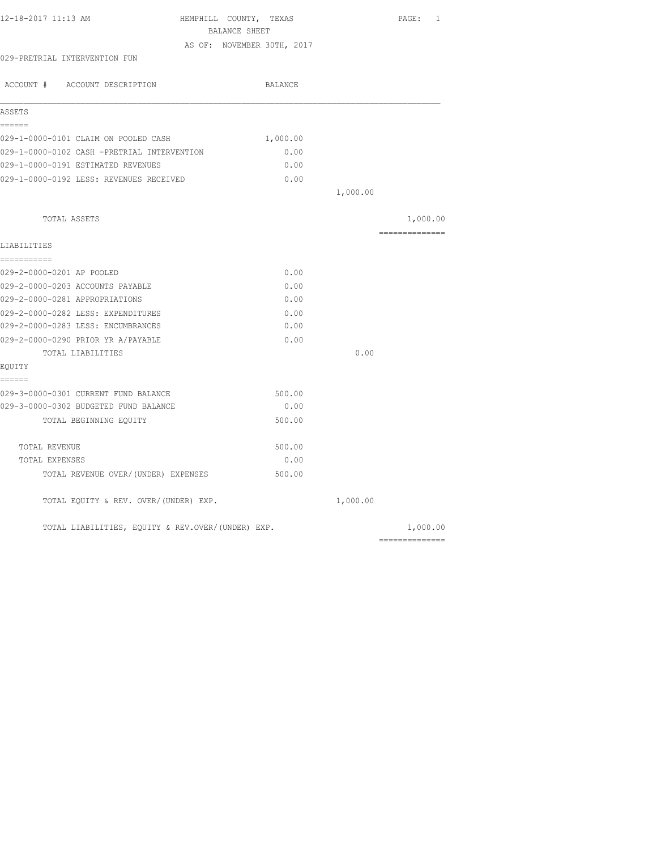| HEMPHILL COUNTY, TEXAS | PAGE:<br>1                                                                                                                                                                                                                                                                                                            |
|------------------------|-----------------------------------------------------------------------------------------------------------------------------------------------------------------------------------------------------------------------------------------------------------------------------------------------------------------------|
|                        |                                                                                                                                                                                                                                                                                                                       |
|                        |                                                                                                                                                                                                                                                                                                                       |
| BALANCE                |                                                                                                                                                                                                                                                                                                                       |
|                        |                                                                                                                                                                                                                                                                                                                       |
|                        |                                                                                                                                                                                                                                                                                                                       |
| 1,000.00               |                                                                                                                                                                                                                                                                                                                       |
| 0.00                   |                                                                                                                                                                                                                                                                                                                       |
| 0.00                   |                                                                                                                                                                                                                                                                                                                       |
| 0.00                   |                                                                                                                                                                                                                                                                                                                       |
|                        |                                                                                                                                                                                                                                                                                                                       |
|                        | 1,000.00                                                                                                                                                                                                                                                                                                              |
|                        |                                                                                                                                                                                                                                                                                                                       |
| 0.00                   |                                                                                                                                                                                                                                                                                                                       |
| 0.00                   |                                                                                                                                                                                                                                                                                                                       |
| 0.00                   |                                                                                                                                                                                                                                                                                                                       |
| 0.00                   |                                                                                                                                                                                                                                                                                                                       |
| 0.00                   |                                                                                                                                                                                                                                                                                                                       |
| 0.00                   |                                                                                                                                                                                                                                                                                                                       |
|                        | 0.00                                                                                                                                                                                                                                                                                                                  |
|                        |                                                                                                                                                                                                                                                                                                                       |
|                        |                                                                                                                                                                                                                                                                                                                       |
|                        |                                                                                                                                                                                                                                                                                                                       |
| 500.00                 |                                                                                                                                                                                                                                                                                                                       |
| 500.00                 |                                                                                                                                                                                                                                                                                                                       |
| 0.00                   |                                                                                                                                                                                                                                                                                                                       |
| 500.00                 |                                                                                                                                                                                                                                                                                                                       |
|                        |                                                                                                                                                                                                                                                                                                                       |
|                        | 1,000.00                                                                                                                                                                                                                                                                                                              |
|                        | BALANCE SHEET<br>AS OF: NOVEMBER 30TH, 2017<br>029-1-0000-0102 CASH -PRETRIAL INTERVENTION<br>029-1-0000-0192 LESS: REVENUES RECEIVED<br>1,000.00<br>500.00<br>0.00<br>TOTAL REVENUE OVER/ (UNDER) EXPENSES<br>TOTAL EQUITY & REV. OVER/(UNDER) EXP.<br>1,000.00<br>TOTAL LIABILITIES, EQUITY & REV.OVER/(UNDER) EXP. |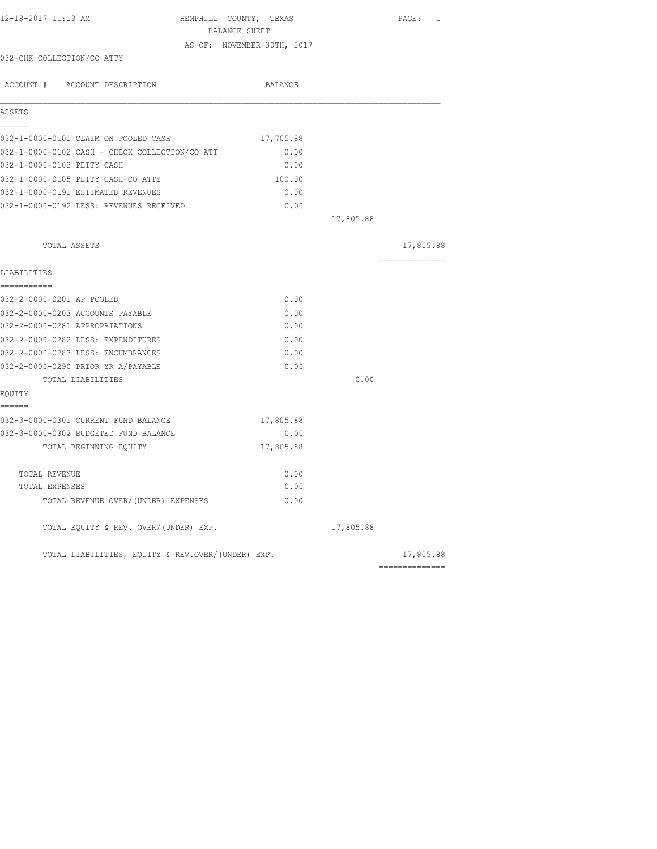| 12-18-2017 11:13 AM                               | HEMPHILL COUNTY, TEXAS<br>BALANCE SHEET |           | PAGE: 1         |
|---------------------------------------------------|-----------------------------------------|-----------|-----------------|
|                                                   | AS OF: NOVEMBER 30TH, 2017              |           |                 |
| 032-CHK COLLECTION/CO ATTY                        |                                         |           |                 |
| ACCOUNT # ACCOUNT DESCRIPTION                     | BALANCE                                 |           |                 |
| ASSETS                                            |                                         |           |                 |
| ------<br>032-1-0000-0101 CLAIM ON POOLED CASH    | 17,705.88                               |           |                 |
| 032-1-0000-0102 CASH - CHECK COLLECTION/CO ATT    | 0.00                                    |           |                 |
| 032-1-0000-0103 PETTY CASH                        | 0.00                                    |           |                 |
| 032-1-0000-0105 PETTY CASH-CO ATTY                | 100.00                                  |           |                 |
| 032-1-0000-0191 ESTIMATED REVENUES                | 0.00                                    |           |                 |
| 032-1-0000-0192 LESS: REVENUES RECEIVED           | 0.00                                    |           |                 |
|                                                   |                                         | 17,805.88 |                 |
| TOTAL ASSETS                                      |                                         |           | 17,805.88       |
| LIABILITIES                                       |                                         |           | =============== |
| -----------<br>032-2-0000-0201 AP POOLED          | 0.00                                    |           |                 |
| 032-2-0000-0203 ACCOUNTS PAYABLE                  | 0.00                                    |           |                 |
| 032-2-0000-0281 APPROPRIATIONS                    | 0.00                                    |           |                 |
| 032-2-0000-0282 LESS: EXPENDITURES                | 0.00                                    |           |                 |
| 032-2-0000-0283 LESS: ENCUMBRANCES                | 0.00                                    |           |                 |
| 032-2-0000-0290 PRIOR YR A/PAYABLE                | 0.00                                    |           |                 |
| TOTAL LIABILITIES                                 |                                         | 0.00      |                 |
| EOUITY<br>------                                  |                                         |           |                 |
| 032-3-0000-0301 CURRENT FUND BALANCE              | 17,805.88                               |           |                 |
| 032-3-0000-0302 BUDGETED FUND BALANCE             | 0.00                                    |           |                 |
| TOTAL BEGINNING EQUITY                            | 17,805.88                               |           |                 |
| TOTAL REVENUE                                     | 0.00                                    |           |                 |
| TOTAL EXPENSES                                    | 0.00                                    |           |                 |
| TOTAL REVENUE OVER/(UNDER) EXPENSES               | 0.00                                    |           |                 |
| TOTAL EQUITY & REV. OVER/(UNDER) EXP.             |                                         | 17,805.88 |                 |
| TOTAL LIABILITIES, EQUITY & REV.OVER/(UNDER) EXP. |                                         |           | 17,805.88       |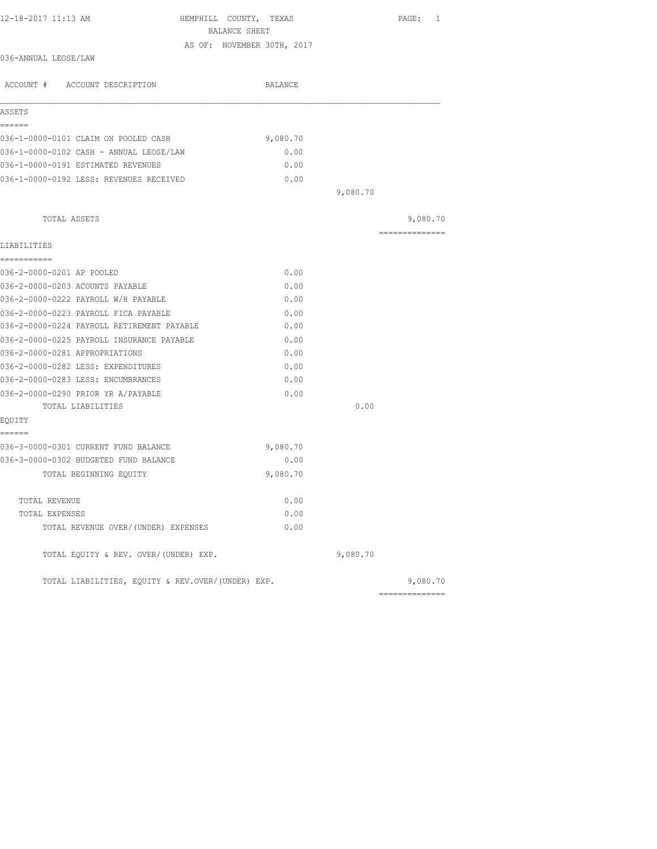| 12-18-2017 11:13 AM                                                           | HEMPHILL COUNTY, TEXAS<br>BALANCE SHEET | PAGE: 1        |
|-------------------------------------------------------------------------------|-----------------------------------------|----------------|
|                                                                               | AS OF: NOVEMBER 30TH, 2017              |                |
| 036-ANNUAL LEOSE/LAW                                                          |                                         |                |
| ACCOUNT # ACCOUNT DESCRIPTION                                                 | BALANCE                                 |                |
| ASSETS                                                                        |                                         |                |
| ======                                                                        |                                         |                |
| 036-1-0000-0101 CLAIM ON POOLED CASH                                          | 9,080.70                                |                |
| 036-1-0000-0102 CASH - ANNUAL LEOSE/LAW                                       | 0.00                                    |                |
| 036-1-0000-0191 ESTIMATED REVENUES                                            | 0.00                                    |                |
| 036-1-0000-0192 LESS: REVENUES RECEIVED                                       | 0.00                                    |                |
|                                                                               |                                         | 9,080.70       |
| TOTAL ASSETS                                                                  |                                         | 9,080.70       |
| LIABILITIES                                                                   |                                         | ============== |
| -----------                                                                   |                                         |                |
| 036-2-0000-0201 AP POOLED                                                     | 0.00                                    |                |
| 036-2-0000-0203 ACOUNTS PAYABLE                                               | 0.00                                    |                |
| 036-2-0000-0222 PAYROLL W/H PAYABLE                                           | 0.00                                    |                |
| 036-2-0000-0223 PAYROLL FICA PAYABLE                                          | 0.00                                    |                |
| 036-2-0000-0224 PAYROLL RETIREMENT PAYABLE                                    | 0.00                                    |                |
| 036-2-0000-0225 PAYROLL INSURANCE PAYABLE                                     | 0.00                                    |                |
| 036-2-0000-0281 APPROPRIATIONS                                                | 0.00                                    |                |
| 036-2-0000-0282 LESS: EXPENDITURES                                            | 0.00                                    |                |
| 036-2-0000-0283 LESS: ENCUMBRANCES                                            | 0.00                                    |                |
| 036-2-0000-0290 PRIOR YR A/PAYABLE                                            | 0.00                                    |                |
| TOTAL LIABILITIES                                                             |                                         | 0.00           |
| EQUITY                                                                        |                                         |                |
| ======                                                                        |                                         |                |
| 036-3-0000-0301 CURRENT FUND BALANCE<br>036-3-0000-0302 BUDGETED FUND BALANCE | 9,080.70<br>0.00                        |                |
|                                                                               |                                         |                |
| TOTAL BEGINNING EQUITY                                                        | 9,080.70                                |                |
| TOTAL REVENUE                                                                 | 0.00                                    |                |
| TOTAL EXPENSES                                                                | 0.00                                    |                |
| TOTAL REVENUE OVER/(UNDER) EXPENSES                                           | 0.00                                    |                |
| TOTAL EQUITY & REV. OVER/(UNDER) EXP.                                         |                                         | 9,080.70       |
| TOTAL LIABILITIES, EQUITY & REV.OVER/(UNDER) EXP.                             |                                         | 9,080.70       |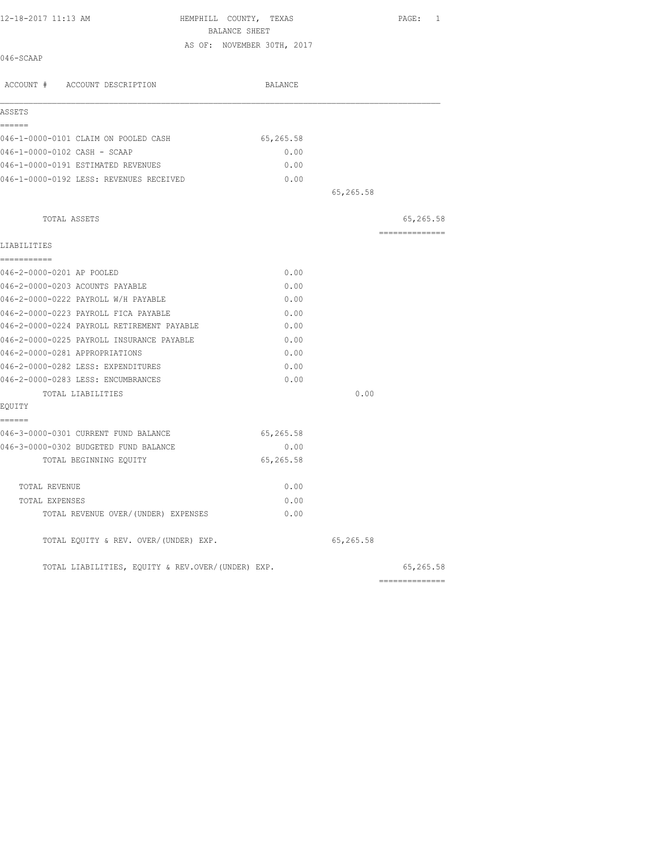| 12-18-2017 11:13 AM                            | HEMPHILL COUNTY, TEXAS<br>BALANCE SHEET | PAGE: 1         |
|------------------------------------------------|-----------------------------------------|-----------------|
| 046-SCAAP                                      | AS OF: NOVEMBER 30TH, 2017              |                 |
| ACCOUNT # ACCOUNT DESCRIPTION                  | <b>BALANCE</b>                          |                 |
| ASSETS                                         |                                         |                 |
| ======<br>046-1-0000-0101 CLAIM ON POOLED CASH | 65,265.58                               |                 |
| 046-1-0000-0102 CASH - SCAAP                   | 0.00                                    |                 |
| 046-1-0000-0191 ESTIMATED REVENUES             | 0.00                                    |                 |
| 046-1-0000-0192 LESS: REVENUES RECEIVED        | 0.00                                    |                 |
|                                                |                                         | 65,265.58       |
| TOTAL ASSETS                                   |                                         | 65,265.58       |
| LIABILITIES                                    |                                         | --------------- |
| ===========<br>046-2-0000-0201 AP POOLED       | 0.00                                    |                 |
| 046-2-0000-0203 ACOUNTS PAYABLE                | 0.00                                    |                 |
| 046-2-0000-0222 PAYROLL W/H PAYABLE            | 0.00                                    |                 |
| 046-2-0000-0223 PAYROLL FICA PAYABLE           | 0.00                                    |                 |
| 046-2-0000-0224 PAYROLL RETIREMENT PAYABLE     | 0.00                                    |                 |
| 046-2-0000-0225 PAYROLL INSURANCE PAYABLE      | 0.00                                    |                 |
| 046-2-0000-0281 APPROPRIATIONS                 | 0.00                                    |                 |
| 046-2-0000-0282 LESS: EXPENDITURES             | 0.00                                    |                 |
| 046-2-0000-0283 LESS: ENCUMBRANCES             | 0.00                                    |                 |
| TOTAL LIABILITIES                              |                                         | 0.00            |
| EQUITY                                         |                                         |                 |
| ======                                         |                                         |                 |
| 046-3-0000-0301 CURRENT FUND BALANCE           | 65,265.58                               |                 |
| 046-3-0000-0302 BUDGETED FUND BALANCE          | 0.00                                    |                 |
| TOTAL BEGINNING EQUITY                         | 65,265.58                               |                 |
| TOTAL REVENUE                                  | 0.00                                    |                 |
| TOTAL EXPENSES                                 | 0.00                                    |                 |
| TOTAL REVENUE OVER/ (UNDER) EXPENSES           | 0.00                                    |                 |

TOTAL EQUITY & REV. OVER/(UNDER) EXP. (2001) 2012 10:50:58

TOTAL LIABILITIES, EQUITY & REV.OVER/(UNDER) EXP. 65,265.58

| 65,265 |  |
|--------|--|
|        |  |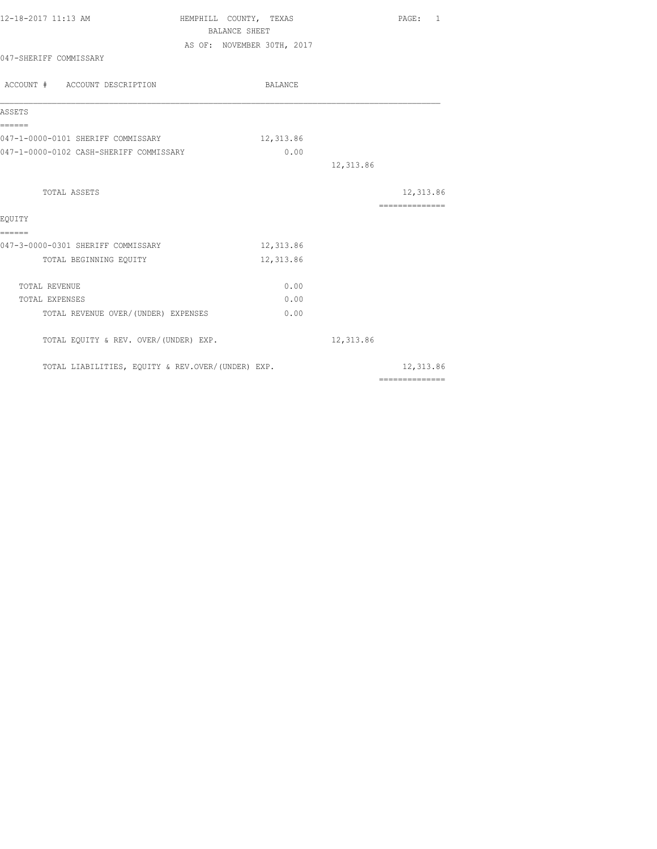| 12-18-2017 11:13 AM                               | HEMPHILL COUNTY, TEXAS     | PAGE: 1                                                                                                                                                                                                                                                                                                                                                                                                                                                                                |  |  |
|---------------------------------------------------|----------------------------|----------------------------------------------------------------------------------------------------------------------------------------------------------------------------------------------------------------------------------------------------------------------------------------------------------------------------------------------------------------------------------------------------------------------------------------------------------------------------------------|--|--|
| <b>BALANCE SHEET</b>                              |                            |                                                                                                                                                                                                                                                                                                                                                                                                                                                                                        |  |  |
|                                                   | AS OF: NOVEMBER 30TH, 2017 |                                                                                                                                                                                                                                                                                                                                                                                                                                                                                        |  |  |
| 047-SHERIFF COMMISSARY                            |                            |                                                                                                                                                                                                                                                                                                                                                                                                                                                                                        |  |  |
| ACCOUNT # ACCOUNT DESCRIPTION                     | BALANCE                    |                                                                                                                                                                                                                                                                                                                                                                                                                                                                                        |  |  |
| ASSETS                                            |                            |                                                                                                                                                                                                                                                                                                                                                                                                                                                                                        |  |  |
| ======<br>047-1-0000-0101 SHERIFF COMMISSARY      | 12,313.86                  |                                                                                                                                                                                                                                                                                                                                                                                                                                                                                        |  |  |
| 047-1-0000-0102 CASH-SHERIFF COMMISSARY           | 0.00                       |                                                                                                                                                                                                                                                                                                                                                                                                                                                                                        |  |  |
|                                                   |                            | 12,313.86                                                                                                                                                                                                                                                                                                                                                                                                                                                                              |  |  |
| TOTAL ASSETS                                      |                            | 12,313.86                                                                                                                                                                                                                                                                                                                                                                                                                                                                              |  |  |
| EOUITY                                            |                            | $\begin{array}{cccccccccc} \multicolumn{2}{c}{} & \multicolumn{2}{c}{} & \multicolumn{2}{c}{} & \multicolumn{2}{c}{} & \multicolumn{2}{c}{} & \multicolumn{2}{c}{} & \multicolumn{2}{c}{} & \multicolumn{2}{c}{} & \multicolumn{2}{c}{} & \multicolumn{2}{c}{} & \multicolumn{2}{c}{} & \multicolumn{2}{c}{} & \multicolumn{2}{c}{} & \multicolumn{2}{c}{} & \multicolumn{2}{c}{} & \multicolumn{2}{c}{} & \multicolumn{2}{c}{} & \multicolumn{2}{c}{} & \multicolumn{2}{c}{} & \mult$ |  |  |
| ======                                            |                            |                                                                                                                                                                                                                                                                                                                                                                                                                                                                                        |  |  |
| 047-3-0000-0301 SHERIFF COMMISSARY                | 12,313.86                  |                                                                                                                                                                                                                                                                                                                                                                                                                                                                                        |  |  |
| TOTAL BEGINNING EQUITY                            | 12,313.86                  |                                                                                                                                                                                                                                                                                                                                                                                                                                                                                        |  |  |
| TOTAL REVENUE                                     | 0.00                       |                                                                                                                                                                                                                                                                                                                                                                                                                                                                                        |  |  |
| TOTAL EXPENSES                                    | 0.00                       |                                                                                                                                                                                                                                                                                                                                                                                                                                                                                        |  |  |
| TOTAL REVENUE OVER/(UNDER) EXPENSES               | 0.00                       |                                                                                                                                                                                                                                                                                                                                                                                                                                                                                        |  |  |
| TOTAL EQUITY & REV. OVER/(UNDER) EXP.             |                            | 12,313.86                                                                                                                                                                                                                                                                                                                                                                                                                                                                              |  |  |
| TOTAL LIABILITIES, EQUITY & REV.OVER/(UNDER) EXP. |                            | 12,313.86                                                                                                                                                                                                                                                                                                                                                                                                                                                                              |  |  |
|                                                   |                            | $\begin{array}{cccccccccccccc} \multicolumn{2}{c}{} & \multicolumn{2}{c}{} & \multicolumn{2}{c}{} & \multicolumn{2}{c}{} & \multicolumn{2}{c}{} & \multicolumn{2}{c}{} & \multicolumn{2}{c}{} & \multicolumn{2}{c}{} & \multicolumn{2}{c}{} & \multicolumn{2}{c}{} & \multicolumn{2}{c}{} & \multicolumn{2}{c}{} & \multicolumn{2}{c}{} & \multicolumn{2}{c}{} & \multicolumn{2}{c}{} & \multicolumn{2}{c}{} & \multicolumn{2}{c}{} & \multicolumn{2}{c}{} & \multicolumn{2}{c}{} & \$ |  |  |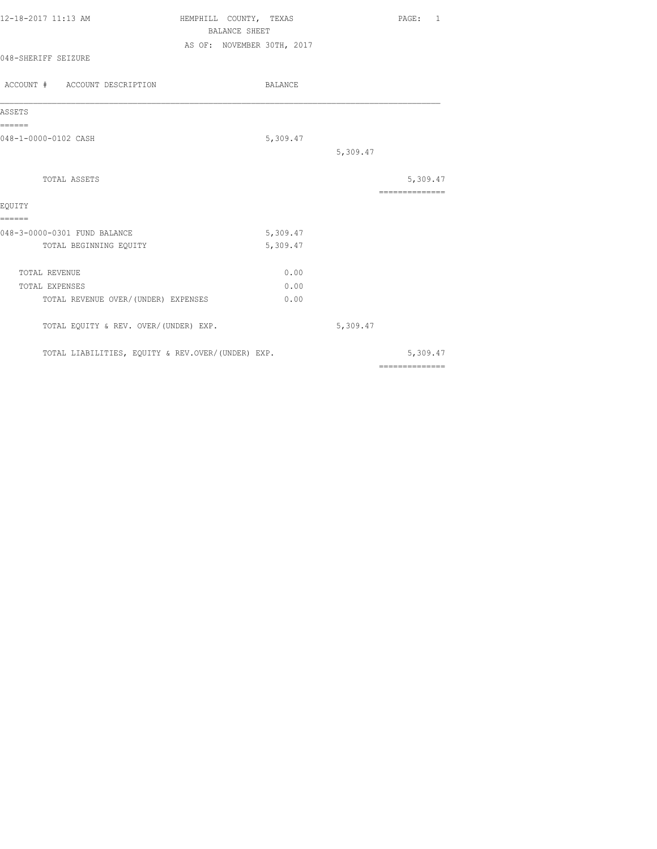| 12-18-2017 11:13 AM           | HEMPHILL COUNTY, TEXAS     | PAGE: |  |
|-------------------------------|----------------------------|-------|--|
|                               | BALANCE SHEET              |       |  |
| 048-SHERIFF SEIZURE           | AS OF: NOVEMBER 30TH, 2017 |       |  |
| ACCOUNT # ACCOUNT DESCRIPTION | <b>BALANCE</b>             |       |  |

| ASSETS                                            |          |          |                |
|---------------------------------------------------|----------|----------|----------------|
| ======<br>048-1-0000-0102 CASH                    | 5,309.47 |          |                |
|                                                   |          | 5,309.47 |                |
| TOTAL ASSETS                                      |          |          | 5,309.47       |
|                                                   |          |          |                |
| EOUITY<br>======                                  |          |          |                |
| 048-3-0000-0301 FUND BALANCE                      | 5,309.47 |          |                |
| TOTAL BEGINNING EQUITY                            | 5,309.47 |          |                |
| <b>TOTAL REVENUE</b>                              | 0.00     |          |                |
| <b>TOTAL EXPENSES</b>                             | 0.00     |          |                |
| TOTAL REVENUE OVER/ (UNDER) EXPENSES              | 0.00     |          |                |
| TOTAL EQUITY & REV. OVER/(UNDER) EXP.             |          | 5,309.47 |                |
| TOTAL LIABILITIES, EQUITY & REV.OVER/(UNDER) EXP. |          |          | 5,309.47       |
|                                                   |          |          | ============== |